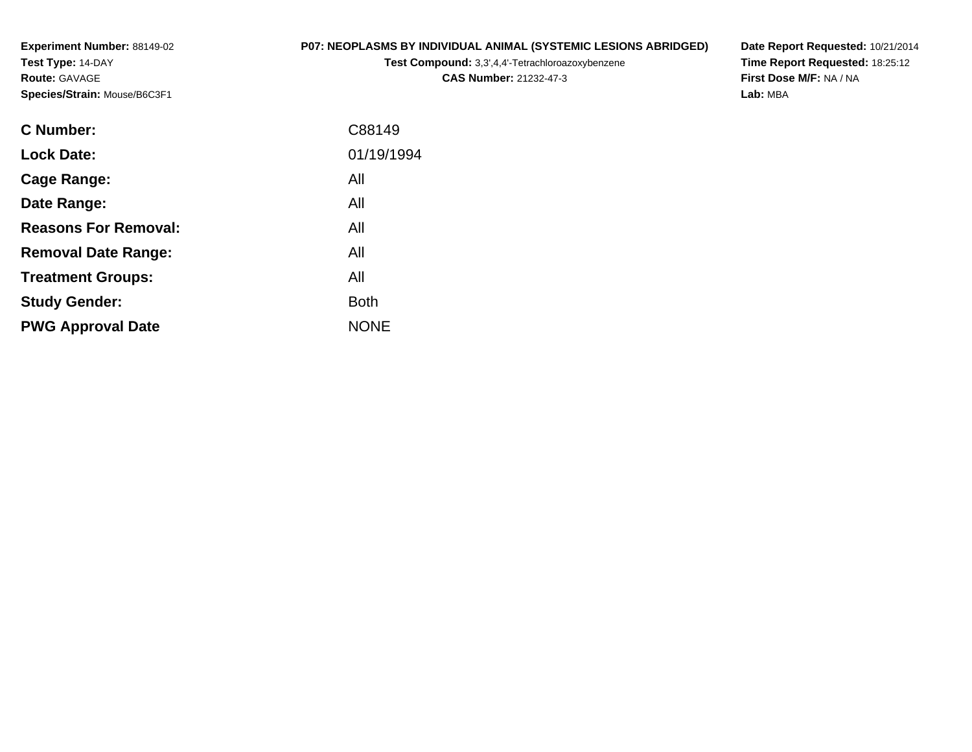**Experiment Number:** 88149-02**Test Type:** 14-DAY**Route:** GAVAGE**Species/Strain:** Mouse/B6C3F1

### **P07: NEOPLASMS BY INDIVIDUAL ANIMAL (SYSTEMIC LESIONS ABRIDGED)**

**Test Compound:** 3,3',4,4'-Tetrachloroazoxybenzene

**CAS Number:** 21232-47-3

**Date Report Requested:** 10/21/2014 **Time Report Requested:** 18:25:12**First Dose M/F:** NA / NA**Lab:** MBA

| <b>C</b> Number:            | C88149      |
|-----------------------------|-------------|
| <b>Lock Date:</b>           | 01/19/1994  |
| Cage Range:                 | All         |
| Date Range:                 | All         |
| <b>Reasons For Removal:</b> | All         |
| <b>Removal Date Range:</b>  | All         |
| <b>Treatment Groups:</b>    | All         |
| <b>Study Gender:</b>        | <b>Both</b> |
| <b>PWG Approval Date</b>    | <b>NONE</b> |
|                             |             |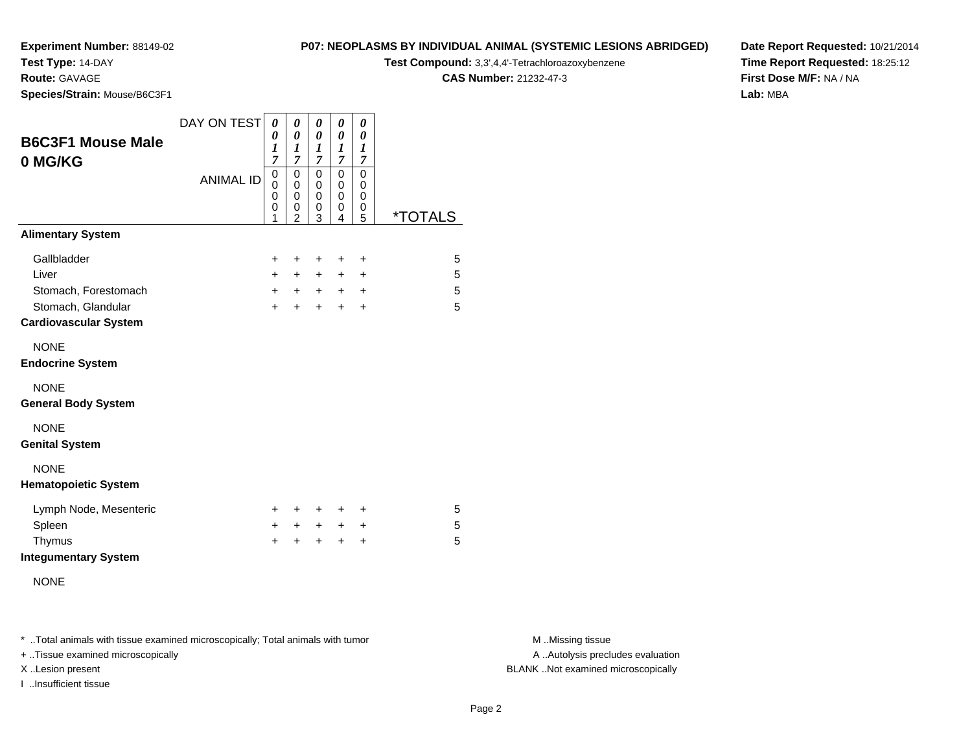## **Test Type:** 14-DAY

**Route:** GAVAGE

**Species/Strain:** Mouse/B6C3F1

# **P07: NEOPLASMS BY INDIVIDUAL ANIMAL (SYSTEMIC LESIONS ABRIDGED)**

**Test Compound:** 3,3',4,4'-Tetrachloroazoxybenzene

**CAS Number:** 21232-47-3

**Date Report Requested:** 10/21/2014**Time Report Requested:** 18:25:12**First Dose M/F:** NA / NA**Lab:** MBA

| <b>B6C3F1 Mouse Male</b><br>0 MG/KG                | DAY ON TEST      | 0<br>0<br>$\boldsymbol{l}$<br>$\overline{7}$ | 0<br>$\boldsymbol{\theta}$<br>1<br>$\overline{7}$ | 0<br>0<br>1<br>7      | 0<br>0<br>1<br>$\overline{7}$ | 0<br>0<br>$\boldsymbol{l}$<br>$\overline{7}$ |                       |
|----------------------------------------------------|------------------|----------------------------------------------|---------------------------------------------------|-----------------------|-------------------------------|----------------------------------------------|-----------------------|
|                                                    | <b>ANIMAL ID</b> | 0<br>0<br>0<br>0<br>1                        | 0<br>0<br>$\mathbf 0$<br>0<br>$\overline{2}$      | 0<br>0<br>0<br>0<br>3 | 0<br>0<br>0<br>0<br>4         | $\mathbf 0$<br>0<br>0<br>0<br>5              | <i><b>*TOTALS</b></i> |
| <b>Alimentary System</b>                           |                  |                                              |                                                   |                       |                               |                                              |                       |
| Gallbladder                                        |                  | $\ddot{}$                                    | +                                                 | ÷                     | $\ddot{}$                     | $\ddot{}$                                    | 5                     |
| Liver                                              |                  | $+$                                          | $+$                                               | $+$                   | $\ddot{}$                     | $\ddot{}$                                    | 5                     |
| Stomach, Forestomach                               |                  | $+$                                          | $+$                                               | $+$                   | $+$                           | $\ddot{}$                                    | 5                     |
| Stomach, Glandular<br><b>Cardiovascular System</b> |                  | $\ddot{}$                                    | $\ddot{}$                                         | $+$                   | $\ddot{}$                     | $\ddot{}$                                    | 5                     |
| <b>NONE</b><br><b>Endocrine System</b>             |                  |                                              |                                                   |                       |                               |                                              |                       |
| <b>NONE</b><br><b>General Body System</b>          |                  |                                              |                                                   |                       |                               |                                              |                       |
| <b>NONE</b><br><b>Genital System</b>               |                  |                                              |                                                   |                       |                               |                                              |                       |
| <b>NONE</b><br><b>Hematopoietic System</b>         |                  |                                              |                                                   |                       |                               |                                              |                       |
| Lymph Node, Mesenteric                             |                  | $\pm$                                        | ÷                                                 | $\ddot{}$             | $\ddot{}$                     | $\ddot{}$                                    | 5                     |
| Spleen                                             |                  | $+$                                          | +                                                 | $+$                   | $\ddot{}$                     | $\ddot{}$                                    | 5                     |
| Thymus<br><b>Integumentary System</b>              |                  | $\ddot{}$                                    | ÷                                                 | $\ddot{}$             | $\ddot{}$                     | $\ddot{}$                                    | 5                     |
| <b>NONE</b>                                        |                  |                                              |                                                   |                       |                               |                                              |                       |

\* ..Total animals with tissue examined microscopically; Total animals with tumor **M** . Missing tissue M ..Missing tissue

+ ..Tissue examined microscopically

I ..Insufficient tissue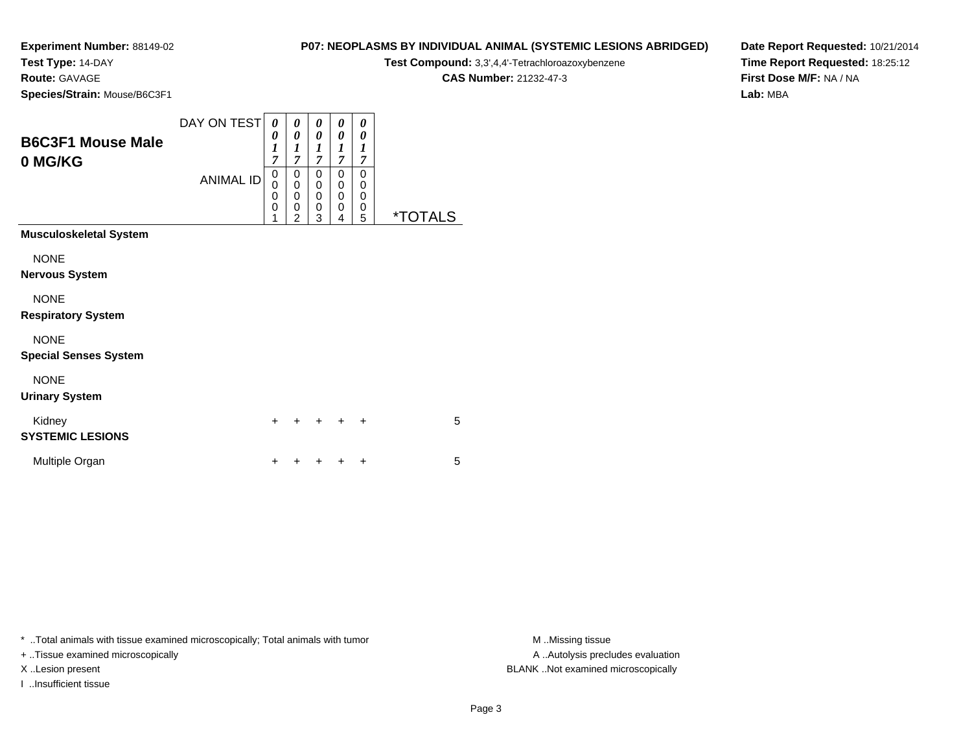**Test Type:** 14-DAY

**Route:** GAVAGE

**Species/Strain:** Mouse/B6C3F1

| P07: NEOPLASMS BY INDIVIDUAL ANIMAL (SYSTEMIC LESIONS ABRIDGED) |
|-----------------------------------------------------------------|
|-----------------------------------------------------------------|

**Test Compound:** 3,3',4,4'-Tetrachloroazoxybenzene

**CAS Number:** 21232-47-3

**Date Report Requested:** 10/21/2014**Time Report Requested:** 18:25:12**First Dose M/F:** NA / NA**Lab:** MBA

| <b>B6C3F1 Mouse Male</b><br>0 MG/KG                                                                                             | DAY ON TEST<br><b>ANIMAL ID</b> | 0<br>0<br>$\boldsymbol{l}$<br>$\overline{7}$<br>0<br>0<br>0<br>$\mathbf 0$ | 0<br>$\boldsymbol{\theta}$<br>$\boldsymbol{l}$<br>$\overline{7}$<br>0<br>$\mathbf 0$<br>$\mathbf 0$<br>0 | 0<br>$\theta$<br>1<br>7<br>$\Omega$<br>0<br>0<br>$\mathbf 0$ | 0<br>$\theta$<br>1<br>$\overline{7}$<br>0<br>$\mathbf 0$<br>$\mathbf 0$<br>$\mathbf 0$ | 0<br>0<br>1<br>$\overline{7}$<br>0<br>0<br>$\mathbf 0$<br>0 |                       |
|---------------------------------------------------------------------------------------------------------------------------------|---------------------------------|----------------------------------------------------------------------------|----------------------------------------------------------------------------------------------------------|--------------------------------------------------------------|----------------------------------------------------------------------------------------|-------------------------------------------------------------|-----------------------|
| <b>Musculoskeletal System</b>                                                                                                   |                                 | 1                                                                          | $\overline{2}$                                                                                           | 3                                                            | 4                                                                                      | 5                                                           | <i><b>*TOTALS</b></i> |
| <b>NONE</b><br><b>Nervous System</b><br><b>NONE</b><br><b>Respiratory System</b><br><b>NONE</b><br><b>Special Senses System</b> |                                 |                                                                            |                                                                                                          |                                                              |                                                                                        |                                                             |                       |
| <b>NONE</b><br><b>Urinary System</b>                                                                                            |                                 |                                                                            |                                                                                                          |                                                              |                                                                                        |                                                             |                       |
| Kidney<br><b>SYSTEMIC LESIONS</b>                                                                                               |                                 | $\ddot{}$                                                                  | +                                                                                                        |                                                              | $\div$                                                                                 | $\div$                                                      | 5                     |
| Multiple Organ                                                                                                                  |                                 | +                                                                          |                                                                                                          |                                                              |                                                                                        |                                                             | 5                     |

\* ..Total animals with tissue examined microscopically; Total animals with tumor **M** . Missing tissue M ..Missing tissue

+ ..Tissue examined microscopically

I ..Insufficient tissue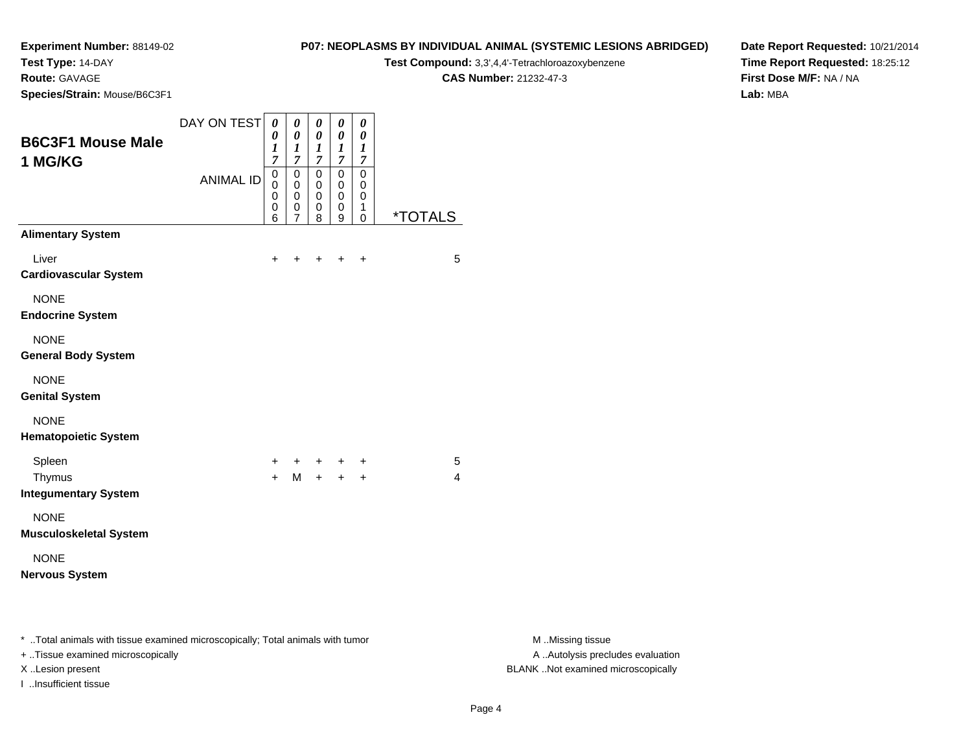**Test Type:** 14-DAY

**Route:** GAVAGE

**Species/Strain:** Mouse/B6C3F1

## **P07: NEOPLASMS BY INDIVIDUAL ANIMAL (SYSTEMIC LESIONS ABRIDGED)**

**Test Compound:** 3,3',4,4'-Tetrachloroazoxybenzene

**CAS Number:** 21232-47-3

**Date Report Requested:** 10/21/2014**Time Report Requested:** 18:25:12**First Dose M/F:** NA / NA**Lab:** MBA

| <b>B6C3F1 Mouse Male</b><br>1 MG/KG                                            | DAY ON TEST      | 0<br>0<br>$\boldsymbol{l}$<br>$\overline{7}$ | $\boldsymbol{\theta}$<br>$\boldsymbol{\theta}$<br>$\boldsymbol{l}$<br>$\overline{7}$ | $\pmb{\theta}$<br>$\boldsymbol{\theta}$<br>1<br>$\overline{7}$ | $\pmb{\theta}$<br>$\pmb{\theta}$<br>1<br>$\overline{7}$ | 0<br>$\pmb{\theta}$<br>$\boldsymbol{l}$<br>$\boldsymbol{7}$ |                       |
|--------------------------------------------------------------------------------|------------------|----------------------------------------------|--------------------------------------------------------------------------------------|----------------------------------------------------------------|---------------------------------------------------------|-------------------------------------------------------------|-----------------------|
|                                                                                | <b>ANIMAL ID</b> | 0<br>0<br>0<br>0<br>6                        | $\mathbf 0$<br>$\mathbf 0$<br>0<br>0<br>$\overline{7}$                               | $\pmb{0}$<br>0<br>0<br>0<br>8                                  | $\mathbf 0$<br>0<br>0<br>0<br>9                         | 0<br>0<br>0<br>1<br>0                                       | <i><b>*TOTALS</b></i> |
| <b>Alimentary System</b>                                                       |                  |                                              |                                                                                      |                                                                |                                                         |                                                             |                       |
| Liver<br><b>Cardiovascular System</b>                                          |                  | +                                            | ٠                                                                                    | ÷                                                              | $\ddot{}$                                               | $\ddot{}$                                                   | 5                     |
| <b>NONE</b><br><b>Endocrine System</b>                                         |                  |                                              |                                                                                      |                                                                |                                                         |                                                             |                       |
| <b>NONE</b><br><b>General Body System</b>                                      |                  |                                              |                                                                                      |                                                                |                                                         |                                                             |                       |
| <b>NONE</b><br><b>Genital System</b>                                           |                  |                                              |                                                                                      |                                                                |                                                         |                                                             |                       |
| <b>NONE</b><br><b>Hematopoietic System</b>                                     |                  |                                              |                                                                                      |                                                                |                                                         |                                                             |                       |
| Spleen<br>Thymus<br><b>Integumentary System</b>                                |                  | +<br>$+$                                     | $\ddot{}$<br>M                                                                       | $+$<br>$+$                                                     | $\ddot{}$<br>$+$                                        | $\ddot{}$<br>$+$                                            | 5<br>4                |
| <b>NONE</b><br><b>Musculoskeletal System</b>                                   |                  |                                              |                                                                                      |                                                                |                                                         |                                                             |                       |
| <b>NONE</b><br><b>Nervous System</b>                                           |                  |                                              |                                                                                      |                                                                |                                                         |                                                             |                       |
| * Total animals with tissue examined microscopically; Total animals with tumor |                  |                                              |                                                                                      |                                                                |                                                         |                                                             |                       |

+ ..Tissue examined microscopically

I ..Insufficient tissue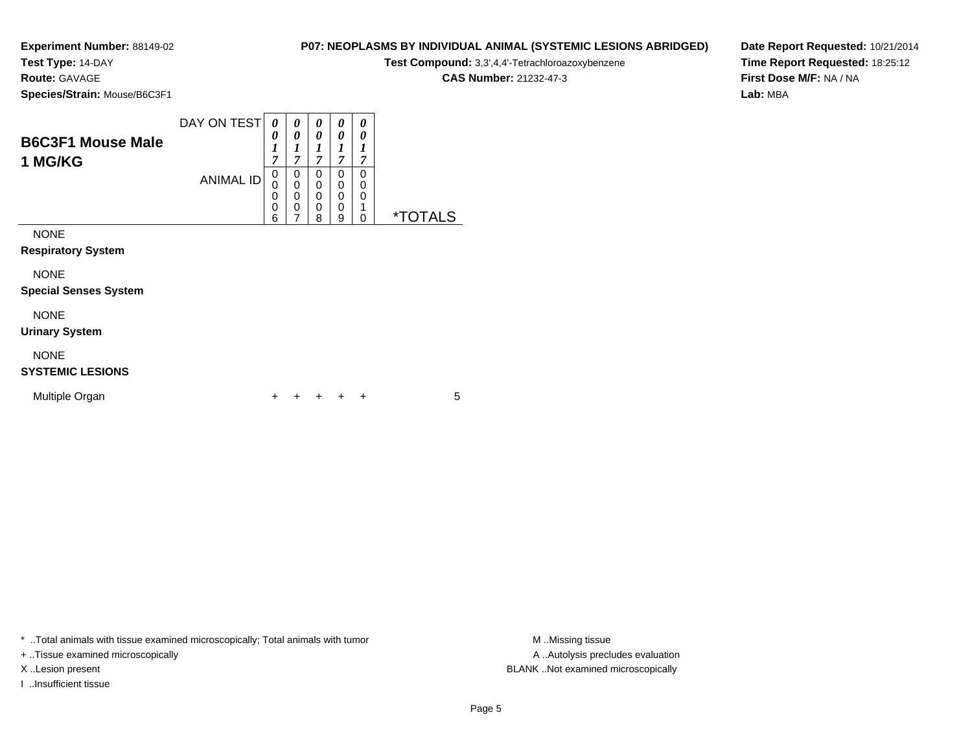**Test Type:** 14-DAY

**Route:** GAVAGE

**Species/Strain:** Mouse/B6C3F1

|          |                                                                    |  |  | <b>CAS Number: 21232-47-3</b> |
|----------|--------------------------------------------------------------------|--|--|-------------------------------|
| e/B6C3F1 |                                                                    |  |  |                               |
|          | DAY ON TEST $\mid \theta \mid \theta \mid \theta \mid \theta \mid$ |  |  |                               |

**Date Report Requested:** 10/21/2014**Time Report Requested:** 18:25:12**First Dose M/F:** NA / NA**Lab:** MBA

| <b>B6C3F1 Mouse Male</b><br>1 MG/KG    |                  | 0<br>$\boldsymbol{l}$<br>7                | 0<br>1<br>7           | $\boldsymbol{\theta}$<br>1<br>7 | 0<br>1<br>7           | 0<br>1<br>7           |                       |
|----------------------------------------|------------------|-------------------------------------------|-----------------------|---------------------------------|-----------------------|-----------------------|-----------------------|
|                                        | <b>ANIMAL ID</b> | 0<br>0<br>$\mathbf 0$<br>$\mathbf 0$<br>6 | 0<br>0<br>0<br>0<br>7 | 0<br>0<br>0<br>0<br>8           | 0<br>0<br>0<br>0<br>9 | 0<br>0<br>0<br>1<br>0 | <i><b>*TOTALS</b></i> |
| <b>NONE</b>                            |                  |                                           |                       |                                 |                       |                       |                       |
| <b>Respiratory System</b>              |                  |                                           |                       |                                 |                       |                       |                       |
| <b>NONE</b>                            |                  |                                           |                       |                                 |                       |                       |                       |
| <b>Special Senses System</b>           |                  |                                           |                       |                                 |                       |                       |                       |
| <b>NONE</b>                            |                  |                                           |                       |                                 |                       |                       |                       |
| <b>Urinary System</b>                  |                  |                                           |                       |                                 |                       |                       |                       |
| <b>NONE</b><br><b>SYSTEMIC LESIONS</b> |                  |                                           |                       |                                 |                       |                       |                       |

| Multiple Organ |  |  | + + + + + |  |  |  |  |
|----------------|--|--|-----------|--|--|--|--|
|----------------|--|--|-----------|--|--|--|--|

\* ..Total animals with tissue examined microscopically; Total animals with tumor **M** . Missing tissue M ..Missing tissue

+ ..Tissue examined microscopically

I ..Insufficient tissue

A ..Autolysis precludes evaluation X ..Lesion present BLANK ..Not examined microscopically

**P07: NEOPLASMS BY INDIVIDUAL ANIMAL (SYSTEMIC LESIONS ABRIDGED)Test Compound:** 3,3',4,4'-Tetrachloroazoxybenzene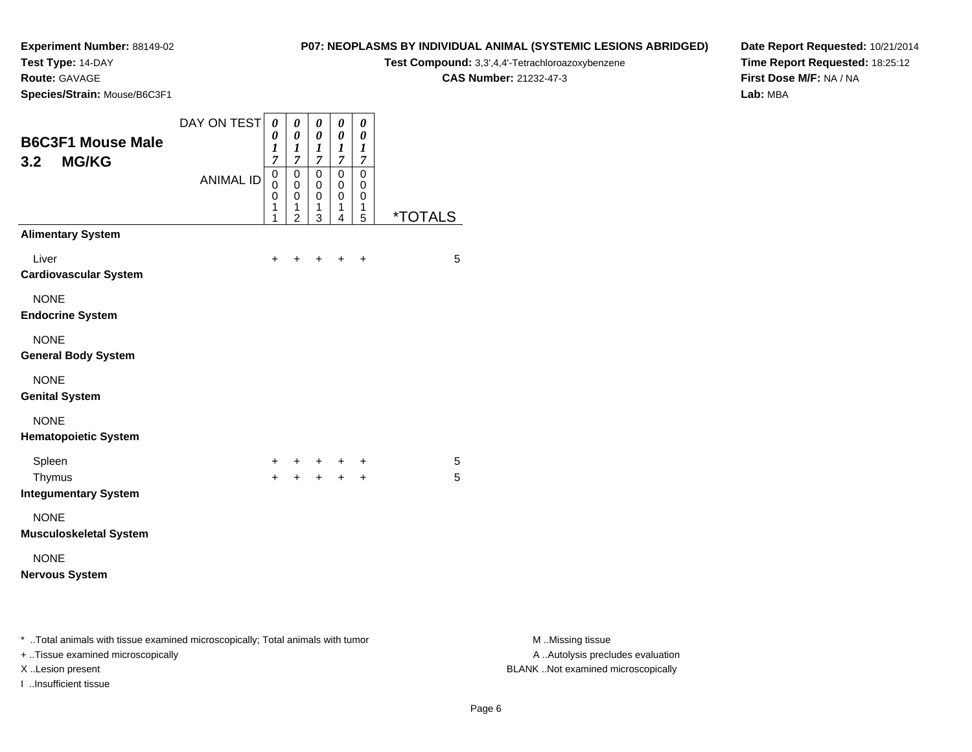**Test Type:** 14-DAY

**Route:** GAVAGE

**Species/Strain:** Mouse/B6C3F1

#### **P07: NEOPLASMS BY INDIVIDUAL ANIMAL (SYSTEMIC LESIONS ABRIDGED)**

**Test Compound:** 3,3',4,4'-Tetrachloroazoxybenzene

**CAS Number:** 21232-47-3

**Date Report Requested:** 10/21/2014**Time Report Requested:** 18:25:12**First Dose M/F:** NA / NA**Lab:** MBA

| <b>B6C3F1 Mouse Male</b><br><b>MG/KG</b><br>3.2                                                                          | DAY ON TEST      | 0<br>0<br>$\boldsymbol{l}$<br>$\overline{7}$ | $\boldsymbol{\theta}$<br>0<br>$\boldsymbol{l}$<br>7    | 0<br>$\boldsymbol{\theta}$<br>1<br>7 | 0<br>0<br>$\boldsymbol{l}$<br>7 | $\pmb{\theta}$<br>$\boldsymbol{\theta}$<br>1<br>7 |                       |
|--------------------------------------------------------------------------------------------------------------------------|------------------|----------------------------------------------|--------------------------------------------------------|--------------------------------------|---------------------------------|---------------------------------------------------|-----------------------|
|                                                                                                                          | <b>ANIMAL ID</b> | $\mathbf 0$<br>0<br>0<br>1<br>1              | $\mathbf 0$<br>0<br>$\mathbf 0$<br>1<br>$\overline{2}$ | $\mathbf 0$<br>0<br>0<br>1<br>3      | 0<br>0<br>0<br>1<br>4           | 0<br>0<br>0<br>1<br>5                             | <i><b>*TOTALS</b></i> |
| <b>Alimentary System</b>                                                                                                 |                  |                                              |                                                        |                                      |                                 |                                                   |                       |
| Liver<br><b>Cardiovascular System</b>                                                                                    |                  | +                                            |                                                        |                                      |                                 | ÷                                                 | 5                     |
| <b>NONE</b><br><b>Endocrine System</b>                                                                                   |                  |                                              |                                                        |                                      |                                 |                                                   |                       |
| <b>NONE</b><br><b>General Body System</b>                                                                                |                  |                                              |                                                        |                                      |                                 |                                                   |                       |
| <b>NONE</b><br><b>Genital System</b>                                                                                     |                  |                                              |                                                        |                                      |                                 |                                                   |                       |
| <b>NONE</b><br><b>Hematopoietic System</b>                                                                               |                  |                                              |                                                        |                                      |                                 |                                                   |                       |
| Spleen                                                                                                                   |                  | $\ddot{}$                                    | +                                                      | $+$ $-$                              |                                 | +                                                 | 5                     |
| Thymus<br><b>Integumentary System</b>                                                                                    |                  | $\ddot{}$                                    | $+$                                                    | $+$                                  | $+$                             | $\ddot{}$                                         | 5                     |
| <b>NONE</b><br><b>Musculoskeletal System</b>                                                                             |                  |                                              |                                                        |                                      |                                 |                                                   |                       |
| <b>NONE</b><br><b>Nervous System</b>                                                                                     |                  |                                              |                                                        |                                      |                                 |                                                   |                       |
| * Total animals with tissue examined microscopically; Total animals with tumor<br><b>Ticcup ovamined microscopically</b> |                  |                                              |                                                        |                                      |                                 |                                                   |                       |

+ ..Tissue examined microscopically

I ..Insufficient tissue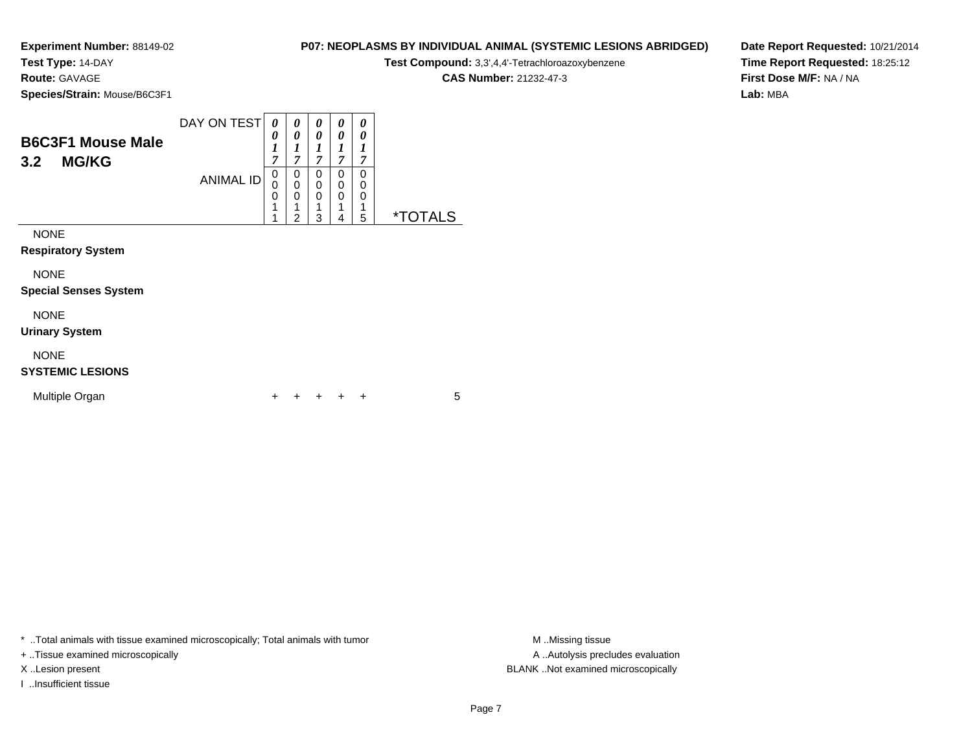**Test Type:** 14-DAY

**Route:** GAVAGE

**Species/Strain:** Mouse/B6C3F1

| Test Compound: 3,3',4,4'-Tetrachloroazoxybenzene |
|--------------------------------------------------|
| <b>CAS Number: 21232-47-3</b>                    |

**P07: NEOPLASMS BY INDIVIDUAL ANIMAL (SYSTEMIC LESIONS ABRIDGED)**

**Date Report Requested:** 10/21/2014**Time Report Requested:** 18:25:12**First Dose M/F:** NA / NA**Lab:** MBA

| <b>B6C3F1 Mouse Male</b><br><b>MG/KG</b><br>3.2 | DAY ON TEST      | 0<br>0<br>1<br>7      | $\boldsymbol{\theta}$<br>0<br>1<br>7         | 0<br>0<br>1<br>7      | 0<br>0<br>1<br>7 | 0<br>0<br>1<br>7               |                       |
|-------------------------------------------------|------------------|-----------------------|----------------------------------------------|-----------------------|------------------|--------------------------------|-----------------------|
|                                                 | <b>ANIMAL ID</b> | 0<br>0<br>0<br>1<br>4 | 0<br>0<br>$\mathbf 0$<br>1<br>$\overline{2}$ | 0<br>0<br>0<br>1<br>3 | 0<br>0<br>0<br>4 | 0<br>$\Omega$<br>$\Omega$<br>5 | <i><b>*TOTALS</b></i> |
| <b>NONE</b><br><b>Respiratory System</b>        |                  |                       |                                              |                       |                  |                                |                       |
| <b>NONE</b><br><b>Special Senses System</b>     |                  |                       |                                              |                       |                  |                                |                       |
| <b>NONE</b><br><b>Urinary System</b>            |                  |                       |                                              |                       |                  |                                |                       |

NONE

#### **SYSTEMIC LESIONS**

| Multiple Organ |  |  |  | + + + + + |  |  |  |
|----------------|--|--|--|-----------|--|--|--|
|----------------|--|--|--|-----------|--|--|--|

\* ..Total animals with tissue examined microscopically; Total animals with tumor **M** . Missing tissue M ..Missing tissue

+ ..Tissue examined microscopically

I ..Insufficient tissue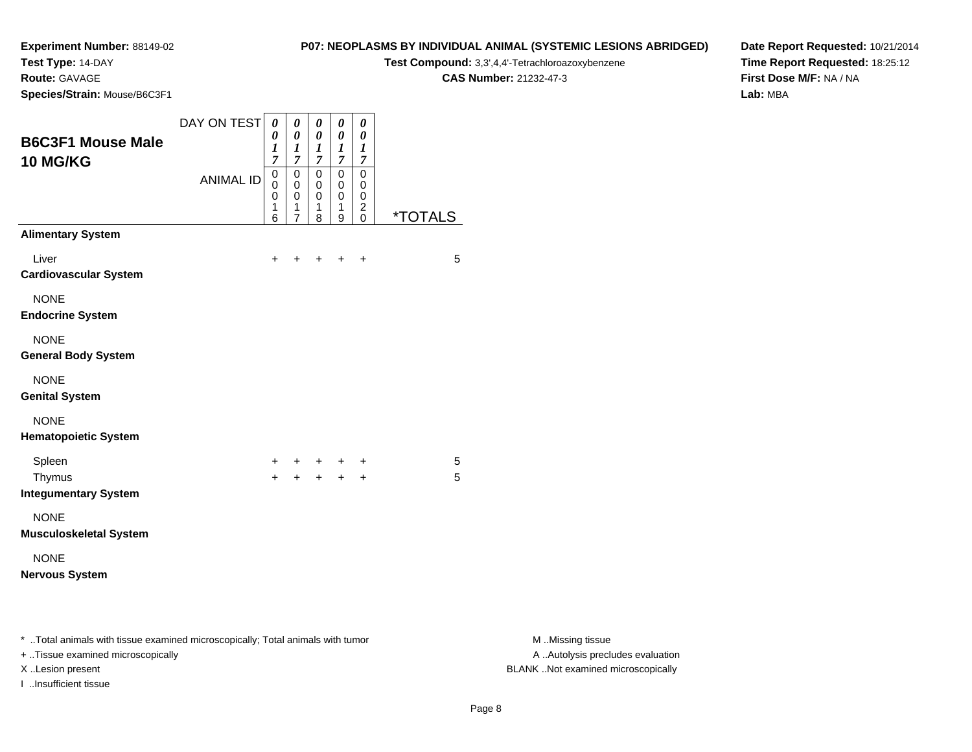**Test Type:** 14-DAY

**Route:** GAVAGE

**Species/Strain:** Mouse/B6C3F1

#### **P07: NEOPLASMS BY INDIVIDUAL ANIMAL (SYSTEMIC LESIONS ABRIDGED)**

**Test Compound:** 3,3',4,4'-Tetrachloroazoxybenzene

**CAS Number:** 21232-47-3

**Date Report Requested:** 10/21/2014**Time Report Requested:** 18:25:12**First Dose M/F:** NA / NA**Lab:** MBA

| <b>B6C3F1 Mouse Male</b><br>10 MG/KG                                           | DAY ON TEST      | 0<br>0<br>1<br>$\overline{7}$                                  | $\boldsymbol{\theta}$<br>$\pmb{\theta}$<br>1<br>$\overline{7}$ | $\pmb{\theta}$<br>0<br>$\boldsymbol{l}$<br>$\overline{7}$ | $\pmb{\theta}$<br>0<br>$\boldsymbol{l}$<br>$\overline{7}$ | 0<br>$\boldsymbol{\theta}$<br>1<br>$\overline{7}$ |                       |
|--------------------------------------------------------------------------------|------------------|----------------------------------------------------------------|----------------------------------------------------------------|-----------------------------------------------------------|-----------------------------------------------------------|---------------------------------------------------|-----------------------|
|                                                                                | <b>ANIMAL ID</b> | $\mathbf 0$<br>$\mathbf 0$<br>$\mathbf 0$<br>$\mathbf{1}$<br>6 | 0<br>$\mathbf 0$<br>$\mathbf 0$<br>1<br>$\overline{7}$         | $\mathbf 0$<br>0<br>0<br>1<br>8                           | $\mathbf 0$<br>0<br>$\mathbf 0$<br>1<br>9                 | 0<br>0<br>0<br>$\overline{c}$<br>$\mathbf 0$      | <i><b>*TOTALS</b></i> |
| <b>Alimentary System</b>                                                       |                  |                                                                |                                                                |                                                           |                                                           |                                                   |                       |
| Liver<br><b>Cardiovascular System</b>                                          |                  | +                                                              |                                                                |                                                           | +                                                         | +                                                 | 5                     |
| <b>NONE</b><br><b>Endocrine System</b>                                         |                  |                                                                |                                                                |                                                           |                                                           |                                                   |                       |
| <b>NONE</b><br><b>General Body System</b>                                      |                  |                                                                |                                                                |                                                           |                                                           |                                                   |                       |
| <b>NONE</b><br><b>Genital System</b>                                           |                  |                                                                |                                                                |                                                           |                                                           |                                                   |                       |
| <b>NONE</b><br><b>Hematopoietic System</b>                                     |                  |                                                                |                                                                |                                                           |                                                           |                                                   |                       |
| Spleen                                                                         |                  | +                                                              | $+$ $-$                                                        | $+$                                                       | $+$                                                       | $\ddot{}$                                         | 5                     |
| Thymus<br><b>Integumentary System</b>                                          |                  | $+$                                                            |                                                                | $+ + +$                                                   |                                                           | $+$                                               | 5                     |
| <b>NONE</b><br><b>Musculoskeletal System</b>                                   |                  |                                                                |                                                                |                                                           |                                                           |                                                   |                       |
| <b>NONE</b><br><b>Nervous System</b>                                           |                  |                                                                |                                                                |                                                           |                                                           |                                                   |                       |
| * Total animals with tissue examined microscopically; Total animals with tumor |                  |                                                                |                                                                |                                                           |                                                           |                                                   |                       |

+ ..Tissue examined microscopically

I ..Insufficient tissue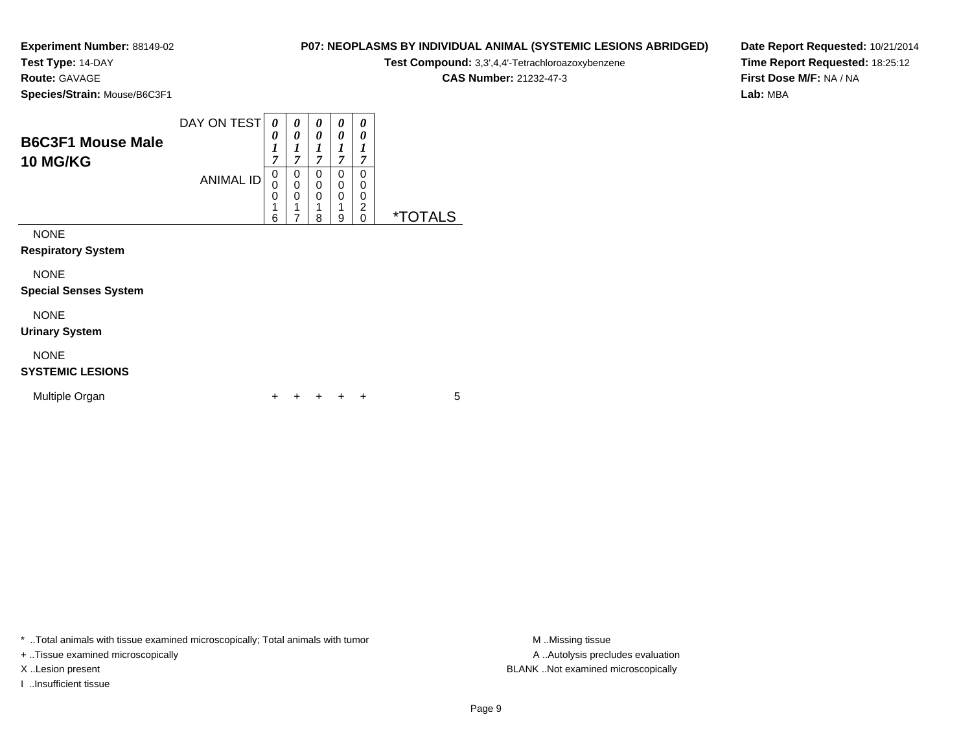**Test Type:** 14-DAY

**Route:** GAVAGE

**Species/Strain:** Mouse/B6C3F1

#### DAY ON TEST *0 0***B6C3F1 Mouse Male***0 00 00 00 0*

| DOUJL I MUUJE MAIE<br><b>10 MG/KG</b> |           | ~                | 7           |                  | 7                     | ,                     |                       |
|---------------------------------------|-----------|------------------|-------------|------------------|-----------------------|-----------------------|-----------------------|
|                                       | ANIMAL ID | 0<br>0<br>0<br>6 | 0<br>0<br>0 | 0<br>0<br>4<br>8 | 0<br>0<br>0<br>4<br>9 | 0<br>0<br>0<br>2<br>0 | <i><b>*TOTALS</b></i> |
| <b>NONE</b>                           |           |                  |             |                  |                       |                       |                       |
| <b>Respiratory System</b>             |           |                  |             |                  |                       |                       |                       |

**Respiratory System**

NONE

 $\sim$ 

**Special Senses System**

# NONE

**Urinary System**

### NONE

### **SYSTEMIC LESIONS**

| Multiple Organ |  |  |  | + + + + + |  |  |  |
|----------------|--|--|--|-----------|--|--|--|
|----------------|--|--|--|-----------|--|--|--|

\* ..Total animals with tissue examined microscopically; Total animals with tumor **M** ...Missing tissue M ...Missing tissue

+ ..Tissue examined microscopically

I ..Insufficient tissue

**P07: NEOPLASMS BY INDIVIDUAL ANIMAL (SYSTEMIC LESIONS ABRIDGED)**

**Test Compound:** 3,3',4,4'-Tetrachloroazoxybenzene

**CAS Number:** 21232-47-3

**Date Report Requested:** 10/21/2014**Time Report Requested:** 18:25:12**First Dose M/F:** NA / NA**Lab:** MBA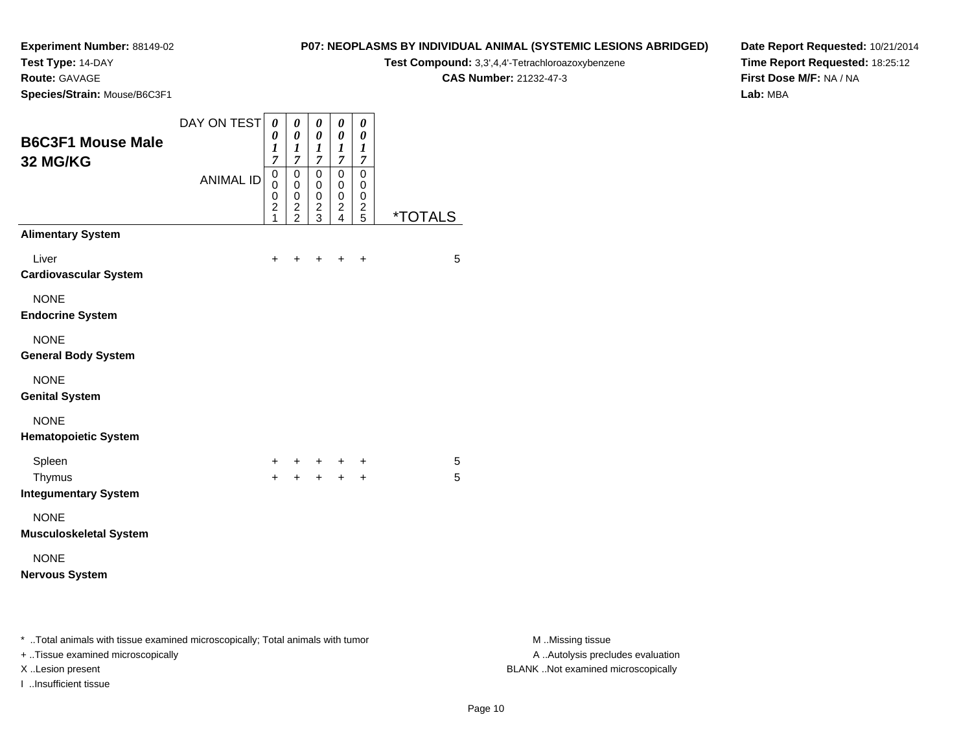**Test Type:** 14-DAY

## **Route:** GAVAGE

**Species/Strain:** Mouse/B6C3F1

#### **P07: NEOPLASMS BY INDIVIDUAL ANIMAL (SYSTEMIC LESIONS ABRIDGED)**

**Test Compound:** 3,3',4,4'-Tetrachloroazoxybenzene

**CAS Number:** 21232-47-3

**Date Report Requested:** 10/21/2014**Time Report Requested:** 18:25:12**First Dose M/F:** NA / NA**Lab:** MBA

| <b>B6C3F1 Mouse Male</b><br>32 MG/KG                                           | DAY ON TEST      | 0<br>0<br>1<br>$\overline{7}$                | $\boldsymbol{\theta}$<br>0<br>$\boldsymbol{l}$<br>7                          | $\boldsymbol{\theta}$<br>0<br>1<br>$\overline{7}$        | 0<br>0<br>1<br>$\overline{7}$                                                      | 0<br>0<br>1<br>$\overline{7}$                         |                       |
|--------------------------------------------------------------------------------|------------------|----------------------------------------------|------------------------------------------------------------------------------|----------------------------------------------------------|------------------------------------------------------------------------------------|-------------------------------------------------------|-----------------------|
|                                                                                | <b>ANIMAL ID</b> | $\mathbf 0$<br>0<br>0<br>$\overline{c}$<br>1 | $\mathbf 0$<br>$\mathbf 0$<br>0<br>$\overline{\mathbf{c}}$<br>$\overline{2}$ | $\mathbf 0$<br>$\mathbf 0$<br>0<br>$\boldsymbol{2}$<br>3 | $\mathbf 0$<br>$\pmb{0}$<br>$\pmb{0}$<br>$\overline{\mathbf{c}}$<br>$\overline{4}$ | $\mathbf 0$<br>0<br>0<br>$\overline{\mathbf{c}}$<br>5 | <i><b>*TOTALS</b></i> |
| <b>Alimentary System</b>                                                       |                  |                                              |                                                                              |                                                          |                                                                                    |                                                       |                       |
| Liver<br><b>Cardiovascular System</b>                                          |                  | +                                            |                                                                              |                                                          | +                                                                                  | +                                                     | 5                     |
| <b>NONE</b><br><b>Endocrine System</b>                                         |                  |                                              |                                                                              |                                                          |                                                                                    |                                                       |                       |
| <b>NONE</b><br><b>General Body System</b>                                      |                  |                                              |                                                                              |                                                          |                                                                                    |                                                       |                       |
| <b>NONE</b><br><b>Genital System</b>                                           |                  |                                              |                                                                              |                                                          |                                                                                    |                                                       |                       |
| <b>NONE</b><br><b>Hematopoietic System</b>                                     |                  |                                              |                                                                              |                                                          |                                                                                    |                                                       |                       |
| Spleen                                                                         |                  | +                                            | ٠                                                                            |                                                          | $\ddot{}$                                                                          | +                                                     | 5                     |
| Thymus<br><b>Integumentary System</b>                                          |                  | $+$                                          | $+$                                                                          | $+$                                                      | $+$                                                                                | $\ddot{}$                                             | 5                     |
| <b>NONE</b><br><b>Musculoskeletal System</b>                                   |                  |                                              |                                                                              |                                                          |                                                                                    |                                                       |                       |
| <b>NONE</b><br><b>Nervous System</b>                                           |                  |                                              |                                                                              |                                                          |                                                                                    |                                                       |                       |
| * Total animals with tissue examined microscopically; Total animals with tumor |                  |                                              |                                                                              |                                                          |                                                                                    |                                                       |                       |
|                                                                                |                  |                                              |                                                                              |                                                          |                                                                                    |                                                       |                       |

+ ..Tissue examined microscopically

I ..Insufficient tissue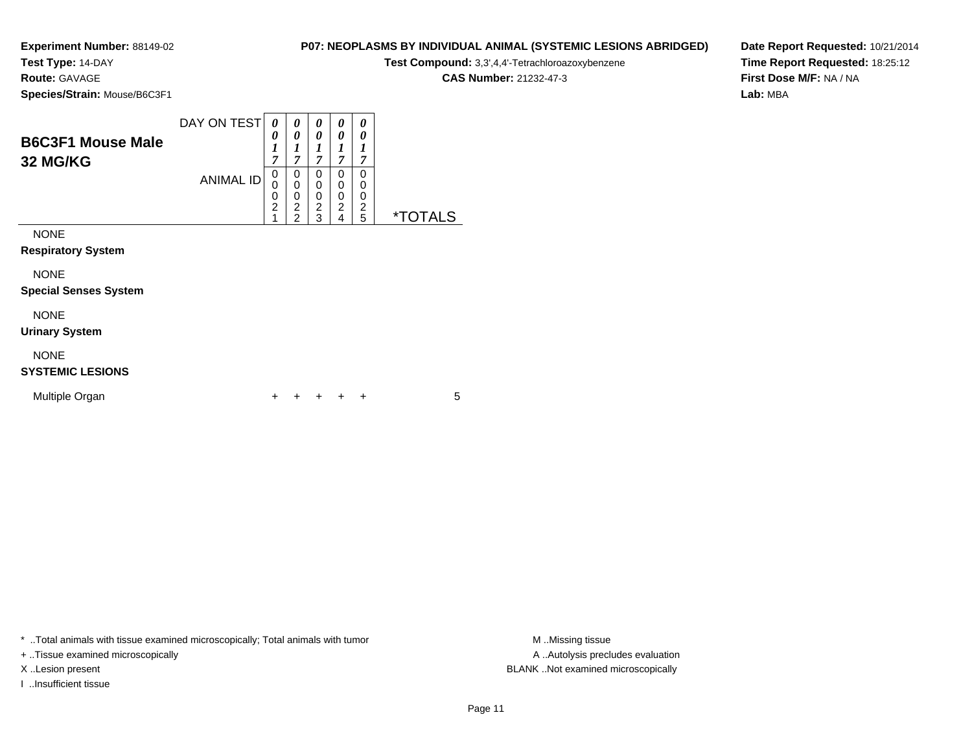**Test Type:** 14-DAY

**Route:** GAVAGE

**Species/Strain:** Mouse/B6C3F1

### **P07: NEOPLASMS BY INDIVIDUAL ANIMAL (SYSTEMIC LESIONS ABRIDGED)**

**Test Compound:** 3,3',4,4'-Tetrachloroazoxybenzene

**CAS Number:** 21232-47-3

**Date Report Requested:** 10/21/2014**Time Report Requested:** 18:25:12**First Dose M/F:** NA / NA**Lab:** MBA

| <b>B6C3F1 Mouse Male</b><br><b>32 MG/KG</b> | DAY ON TEST      | 0<br>0<br>1<br>$\overline{7}$ | 0<br>0<br>1<br>7                                                                | 0<br>0<br>1<br>7                   | 0<br>0<br>7                        | 0<br>0<br>7           |                       |  |
|---------------------------------------------|------------------|-------------------------------|---------------------------------------------------------------------------------|------------------------------------|------------------------------------|-----------------------|-----------------------|--|
|                                             | <b>ANIMAL ID</b> | 0<br>0<br>0<br>$\overline{c}$ | 0<br>$\boldsymbol{0}$<br>$\boldsymbol{0}$<br>$\boldsymbol{2}$<br>$\overline{2}$ | 0<br>0<br>0<br>$\overline{c}$<br>3 | 0<br>0<br>0<br>$\overline{2}$<br>4 | 0<br>0<br>0<br>2<br>5 | <i><b>*TOTALS</b></i> |  |
| <b>NONE</b><br><b>Respiratory System</b>    |                  |                               |                                                                                 |                                    |                                    |                       |                       |  |
| <b>NONE</b><br><b>Special Senses System</b> |                  |                               |                                                                                 |                                    |                                    |                       |                       |  |
| <b>NONE</b><br><b>Urinary System</b>        |                  |                               |                                                                                 |                                    |                                    |                       |                       |  |

NONE

#### **SYSTEMIC LESIONS**

| Multiple Organ |  |  |  | + + + + + |  |  |  |
|----------------|--|--|--|-----------|--|--|--|
|----------------|--|--|--|-----------|--|--|--|

\* ..Total animals with tissue examined microscopically; Total animals with tumor **M** . Missing tissue M ..Missing tissue

+ ..Tissue examined microscopically

I ..Insufficient tissue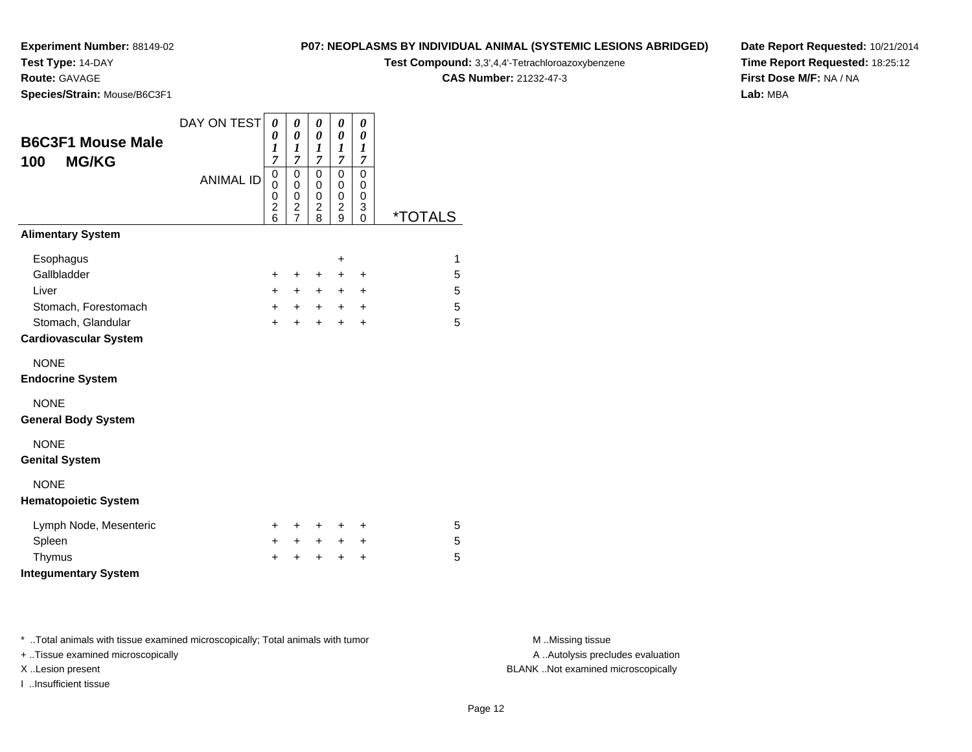**Test Type:** 14-DAY

**Route:** GAVAGE

**Species/Strain:** Mouse/B6C3F1

#### **P07: NEOPLASMS BY INDIVIDUAL ANIMAL (SYSTEMIC LESIONS ABRIDGED)**

**Test Compound:** 3,3',4,4'-Tetrachloroazoxybenzene

**CAS Number:** 21232-47-3

 $\overline{\phantom{0}}$ 

**Date Report Requested:** 10/21/2014**Time Report Requested:** 18:25:12**First Dose M/F:** NA / NA**Lab:** MBA

| <b>B6C3F1 Mouse Male</b><br><b>MG/KG</b><br>100    | DAY ON TEST<br><b>ANIMAL ID</b> | 0<br>0<br>$\boldsymbol{l}$<br>$\overline{7}$<br>0<br>0<br>0 | 0<br>0<br>1<br>7<br>0<br>$\mathbf 0$<br>$\mathbf 0$ | 0<br>0<br>1<br>$\overline{7}$<br>0<br>0<br>$\pmb{0}$ | 0<br>0<br>1<br>$\overline{7}$<br>0<br>0<br>$\pmb{0}$ | 0<br>0<br>1<br>$\overline{7}$<br>0<br>0<br>0 |         |
|----------------------------------------------------|---------------------------------|-------------------------------------------------------------|-----------------------------------------------------|------------------------------------------------------|------------------------------------------------------|----------------------------------------------|---------|
|                                                    |                                 | $\overline{c}$<br>6                                         | $\overline{\mathbf{c}}$<br>$\overline{7}$           | $\overline{c}$<br>8                                  | 2<br>9                                               | 3<br>0                                       | *TOTALS |
| <b>Alimentary System</b>                           |                                 |                                                             |                                                     |                                                      |                                                      |                                              |         |
| Esophagus                                          |                                 |                                                             |                                                     |                                                      | +                                                    |                                              | 1       |
| Gallbladder                                        |                                 | $\pm$                                                       | $\ddot{}$                                           | $\pm$                                                | $\pm$                                                | $\ddot{}$                                    | 5       |
| Liver                                              |                                 | $\pm$                                                       | $+$                                                 | $+$                                                  | $\pm$                                                | $\ddot{}$                                    | 5       |
| Stomach, Forestomach                               |                                 | $\ddot{}$                                                   | $+$                                                 | $+$                                                  | $+$                                                  | $\ddot{}$                                    | 5       |
| Stomach, Glandular<br><b>Cardiovascular System</b> |                                 | $+$                                                         | $+$                                                 | $+$                                                  | $\ddot{}$                                            | $\ddot{}$                                    | 5       |
|                                                    |                                 |                                                             |                                                     |                                                      |                                                      |                                              |         |
| <b>NONE</b>                                        |                                 |                                                             |                                                     |                                                      |                                                      |                                              |         |
| <b>Endocrine System</b>                            |                                 |                                                             |                                                     |                                                      |                                                      |                                              |         |
| <b>NONE</b>                                        |                                 |                                                             |                                                     |                                                      |                                                      |                                              |         |
| <b>General Body System</b>                         |                                 |                                                             |                                                     |                                                      |                                                      |                                              |         |
| <b>NONE</b>                                        |                                 |                                                             |                                                     |                                                      |                                                      |                                              |         |
| <b>Genital System</b>                              |                                 |                                                             |                                                     |                                                      |                                                      |                                              |         |
| <b>NONE</b>                                        |                                 |                                                             |                                                     |                                                      |                                                      |                                              |         |
| <b>Hematopoietic System</b>                        |                                 |                                                             |                                                     |                                                      |                                                      |                                              |         |
| Lymph Node, Mesenteric                             |                                 | ÷.                                                          | ٠                                                   | ٠                                                    | ٠                                                    | ÷                                            | 5       |
| Spleen                                             |                                 | +                                                           | $\ddot{}$                                           | $+$                                                  | $\pm$                                                | +                                            | 5       |
| Thymus                                             |                                 | +                                                           | +                                                   | ٠                                                    | +                                                    | +                                            | 5       |
| <b>Integumentary System</b>                        |                                 |                                                             |                                                     |                                                      |                                                      |                                              |         |

\* ..Total animals with tissue examined microscopically; Total animals with tumor **M** . Missing tissue M ..Missing tissue

+ ..Tissue examined microscopically

I ..Insufficient tissue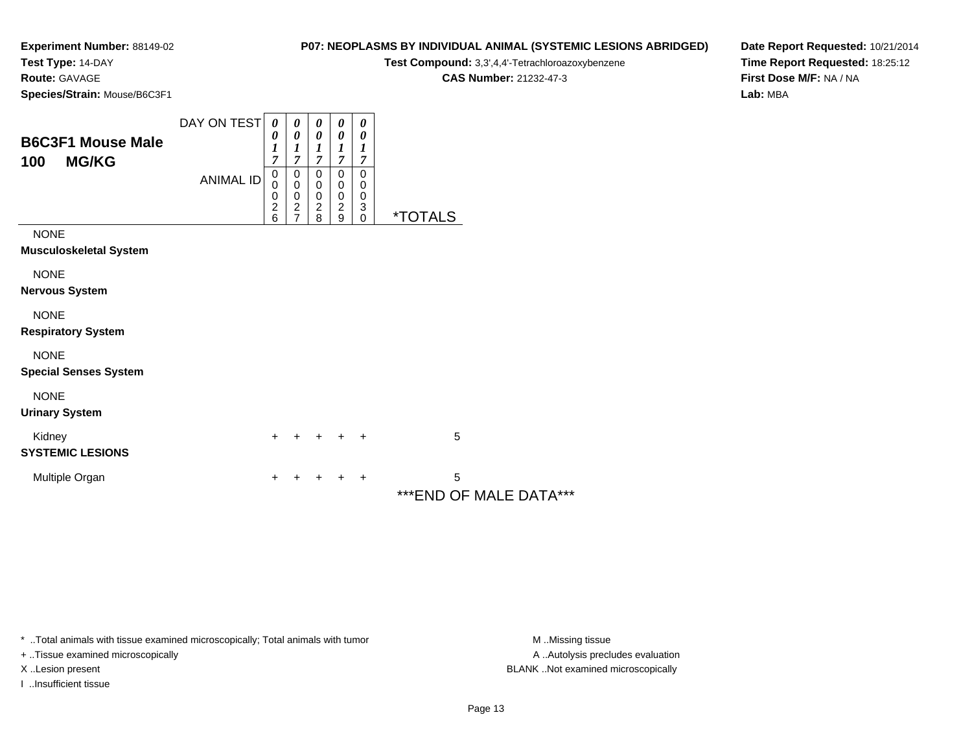**Test Type:** 14-DAY

**Route:** GAVAGE

**Species/Strain:** Mouse/B6C3F1

### **P07: NEOPLASMS BY INDIVIDUAL ANIMAL (SYSTEMIC LESIONS ABRIDGED)**

**Test Compound:** 3,3',4,4'-Tetrachloroazoxybenzene

**CAS Number:** 21232-47-3

**Date Report Requested:** 10/21/2014**Time Report Requested:** 18:25:12**First Dose M/F:** NA / NA**Lab:** MBA

| <b>B6C3F1 Mouse Male</b><br>100<br><b>MG/KG</b> | DAY ON TEST<br><b>ANIMAL ID</b> | 0<br>0<br>$\boldsymbol{l}$<br>7<br>0<br>0<br>$\begin{array}{c} 0 \\ 2 \\ 6 \end{array}$ | 0<br>$\boldsymbol{\theta}$<br>1<br>7<br>$\pmb{0}$<br>$\pmb{0}$<br>$\pmb{0}$<br>$\frac{2}{7}$ | 0<br>0<br>1<br>$\overline{7}$<br>0<br>$\mathbf 0$<br>$\begin{array}{c} 0 \\ 2 \\ 8 \end{array}$ | 0<br>0<br>$\boldsymbol{l}$<br>7<br>0<br>0<br>$\,0\,$<br>$\overline{c}$<br>9 | 0<br>0<br>1<br>7<br>0<br>0<br>$\pmb{0}$<br>3<br>$\mathbf 0$ | <i><b>*TOTALS</b></i>        |  |
|-------------------------------------------------|---------------------------------|-----------------------------------------------------------------------------------------|----------------------------------------------------------------------------------------------|-------------------------------------------------------------------------------------------------|-----------------------------------------------------------------------------|-------------------------------------------------------------|------------------------------|--|
| <b>NONE</b><br>Musculoskeletal System           |                                 |                                                                                         |                                                                                              |                                                                                                 |                                                                             |                                                             |                              |  |
| <b>NONE</b><br>Nervous System                   |                                 |                                                                                         |                                                                                              |                                                                                                 |                                                                             |                                                             |                              |  |
| <b>NONE</b><br><b>Respiratory System</b>        |                                 |                                                                                         |                                                                                              |                                                                                                 |                                                                             |                                                             |                              |  |
| <b>NONE</b><br><b>Special Senses System</b>     |                                 |                                                                                         |                                                                                              |                                                                                                 |                                                                             |                                                             |                              |  |
| <b>NONE</b><br><b>Urinary System</b>            |                                 |                                                                                         |                                                                                              |                                                                                                 |                                                                             |                                                             |                              |  |
| Kidney<br><b>SYSTEMIC LESIONS</b>               |                                 | $+$                                                                                     |                                                                                              | +                                                                                               | $\ddot{}$                                                                   | $\ddot{}$                                                   | 5                            |  |
| Multiple Organ                                  |                                 | $\ddot{}$                                                                               |                                                                                              | +                                                                                               | $\div$                                                                      | $\ddot{}$                                                   | 5<br>*** END OF MALE DATA*** |  |

\* ..Total animals with tissue examined microscopically; Total animals with tumor **M** . Missing tissue M ..Missing tissue

+ ..Tissue examined microscopically

I ..Insufficient tissue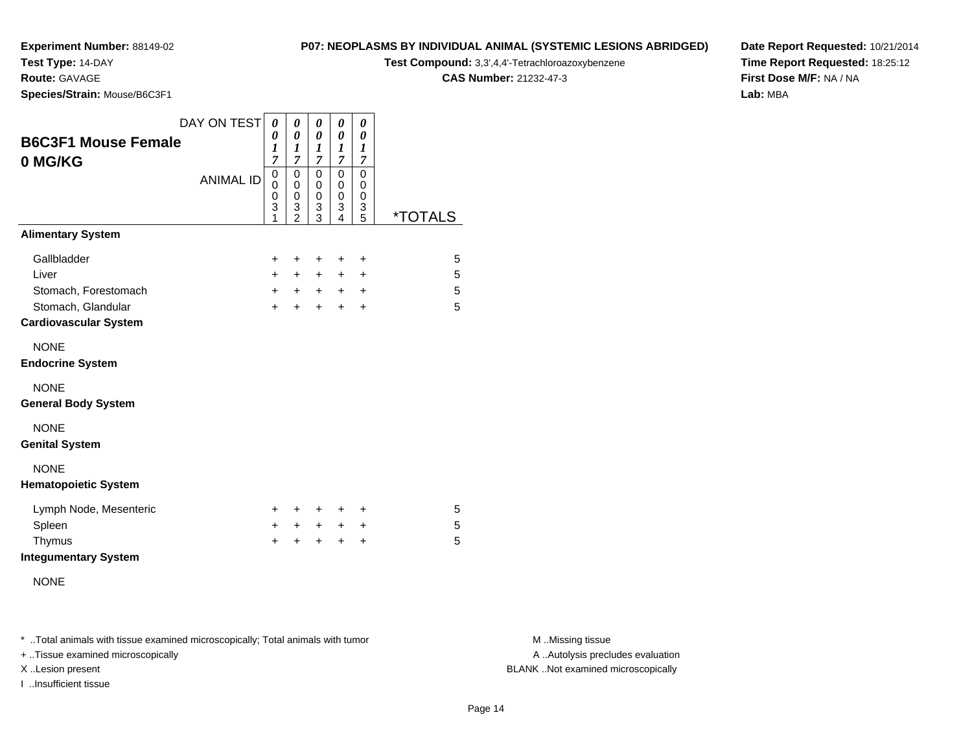**Test Type:** 14-DAY

**Route:** GAVAGE

**Species/Strain:** Mouse/B6C3F1

## **P07: NEOPLASMS BY INDIVIDUAL ANIMAL (SYSTEMIC LESIONS ABRIDGED)**

**Test Compound:** 3,3',4,4'-Tetrachloroazoxybenzene

**CAS Number:** 21232-47-3

**Date Report Requested:** 10/21/2014**Time Report Requested:** 18:25:12**First Dose M/F:** NA / NA**Lab:** MBA

| <b>B6C3F1 Mouse Female</b><br>0 MG/KG                                                              | DAY ON TEST      | 0<br>0<br>$\boldsymbol{l}$<br>$\overline{7}$ | 0<br>0<br>1<br>$\overline{7}$      | 0<br>0<br>1<br>$\overline{7}$        | 0<br>$\pmb{\theta}$<br>1<br>7       | 0<br>0<br>1<br>$\overline{7}$                    |                       |
|----------------------------------------------------------------------------------------------------|------------------|----------------------------------------------|------------------------------------|--------------------------------------|-------------------------------------|--------------------------------------------------|-----------------------|
|                                                                                                    | <b>ANIMAL ID</b> | $\mathbf 0$<br>0<br>0<br>3                   | 0<br>0<br>0<br>3<br>$\mathfrak{p}$ | $\mathbf 0$<br>0<br>0<br>3<br>3      | $\mathbf 0$<br>0<br>0<br>3<br>4     | 0<br>0<br>0<br>3<br>5                            | <i><b>*TOTALS</b></i> |
| <b>Alimentary System</b>                                                                           |                  |                                              |                                    |                                      |                                     |                                                  |                       |
| Gallbladder<br>Liver<br>Stomach, Forestomach<br>Stomach, Glandular<br><b>Cardiovascular System</b> |                  | $\ddot{}$<br>$+$<br>$+$<br>$+$               | +<br>$\pm$<br>$+$<br>$\ddot{}$     | $\ddot{}$<br>$+$<br>$+$<br>$\ddot{}$ | +<br>$\ddot{}$<br>$+$<br>$+$        | $\ddot{}$<br>$\ddot{}$<br>$\ddot{}$<br>$\ddot{}$ | 5<br>5<br>5<br>5      |
| <b>NONE</b><br><b>Endocrine System</b>                                                             |                  |                                              |                                    |                                      |                                     |                                                  |                       |
| <b>NONE</b><br><b>General Body System</b>                                                          |                  |                                              |                                    |                                      |                                     |                                                  |                       |
| <b>NONE</b><br><b>Genital System</b>                                                               |                  |                                              |                                    |                                      |                                     |                                                  |                       |
| <b>NONE</b><br><b>Hematopoietic System</b>                                                         |                  |                                              |                                    |                                      |                                     |                                                  |                       |
| Lymph Node, Mesenteric<br>Spleen<br>Thymus<br><b>Integumentary System</b>                          |                  | $\pm$<br>+<br>$\ddot{}$                      | $\pm$<br>$\ddot{}$<br>+            | $\ddot{}$<br>$\ddot{}$<br>$\ddot{}$  | $\ddot{}$<br>$\ddot{}$<br>$\ddot{}$ | $\ddot{}$<br>$\ddot{}$<br>$\ddot{}$              | 5<br>5<br>5           |
| <b>NONE</b>                                                                                        |                  |                                              |                                    |                                      |                                     |                                                  |                       |

\* ..Total animals with tissue examined microscopically; Total animals with tumor **M** . Missing tissue M ..Missing tissue

+ ..Tissue examined microscopically

I ..Insufficient tissue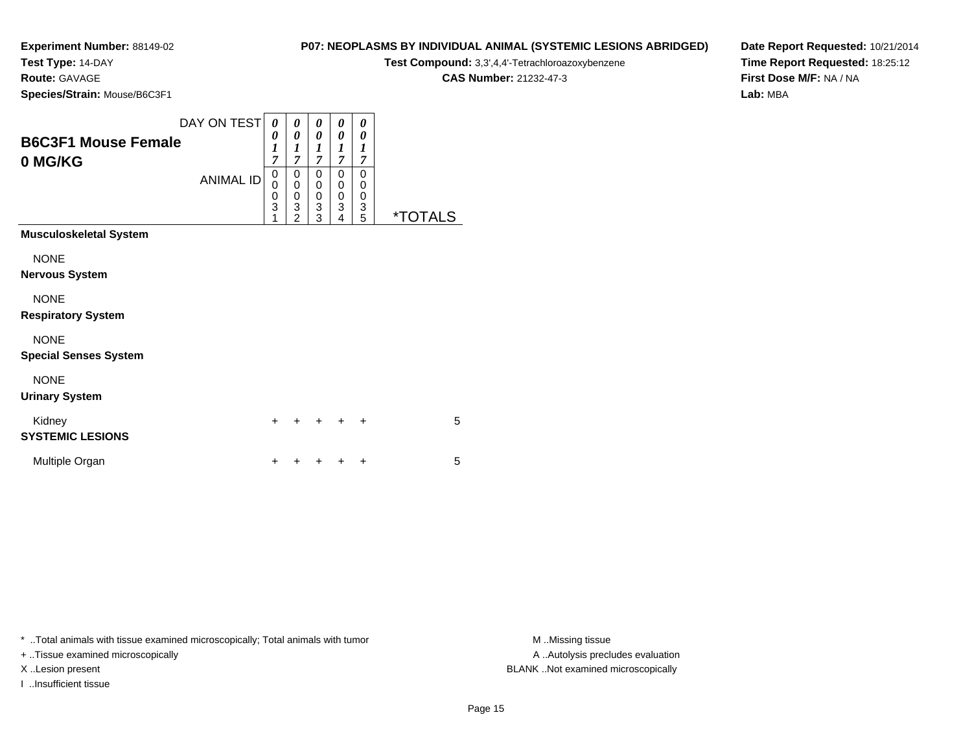**Test Type:** 14-DAY

**Route:** GAVAGE

**Species/Strain:** Mouse/B6C3F1

### **P07: NEOPLASMS BY INDIVIDUAL ANIMAL (SYSTEMIC LESIONS ABRIDGED)**

**Test Compound:** 3,3',4,4'-Tetrachloroazoxybenzene

**CAS Number:** 21232-47-3

**Date Report Requested:** 10/21/2014**Time Report Requested:** 18:25:12**First Dose M/F:** NA / NA**Lab:** MBA

| <b>B6C3F1 Mouse Female</b><br>0 MG/KG | DAY ON TEST<br><b>ANIMAL ID</b> | 0<br>0<br>1<br>$\overline{7}$<br>0<br>0<br>0<br>$\overline{3}$<br>1 | 0<br>0<br>$\boldsymbol{l}$<br>$\overline{7}$<br>0<br>0<br>$\mathbf 0$<br>3<br>$\overline{2}$ | 0<br>0<br>1<br>$\overline{7}$<br>0<br>0<br>0<br>$\ensuremath{\mathsf{3}}$<br>3 | 0<br>0<br>1<br>$\overline{7}$<br>0<br>0<br>0<br>3<br>4 | 0<br>0<br>1<br>7<br>0<br>0<br>$\boldsymbol{0}$<br>3<br>5 | <i><b>*TOTALS</b></i> |
|---------------------------------------|---------------------------------|---------------------------------------------------------------------|----------------------------------------------------------------------------------------------|--------------------------------------------------------------------------------|--------------------------------------------------------|----------------------------------------------------------|-----------------------|
| <b>Musculoskeletal System</b>         |                                 |                                                                     |                                                                                              |                                                                                |                                                        |                                                          |                       |
| <b>NONE</b>                           |                                 |                                                                     |                                                                                              |                                                                                |                                                        |                                                          |                       |
| <b>Nervous System</b>                 |                                 |                                                                     |                                                                                              |                                                                                |                                                        |                                                          |                       |
| <b>NONE</b>                           |                                 |                                                                     |                                                                                              |                                                                                |                                                        |                                                          |                       |
| <b>Respiratory System</b>             |                                 |                                                                     |                                                                                              |                                                                                |                                                        |                                                          |                       |
| <b>NONE</b>                           |                                 |                                                                     |                                                                                              |                                                                                |                                                        |                                                          |                       |
| <b>Special Senses System</b>          |                                 |                                                                     |                                                                                              |                                                                                |                                                        |                                                          |                       |
| <b>NONE</b>                           |                                 |                                                                     |                                                                                              |                                                                                |                                                        |                                                          |                       |
| <b>Urinary System</b>                 |                                 |                                                                     |                                                                                              |                                                                                |                                                        |                                                          |                       |
| Kidney<br><b>SYSTEMIC LESIONS</b>     |                                 | $\ddot{}$                                                           |                                                                                              |                                                                                |                                                        | $\ddot{}$                                                | 5                     |
| Multiple Organ                        |                                 | +                                                                   |                                                                                              |                                                                                |                                                        | $\ddot{}$                                                | 5                     |

\* ..Total animals with tissue examined microscopically; Total animals with tumor **M** . Missing tissue M ..Missing tissue

+ ..Tissue examined microscopically

I ..Insufficient tissue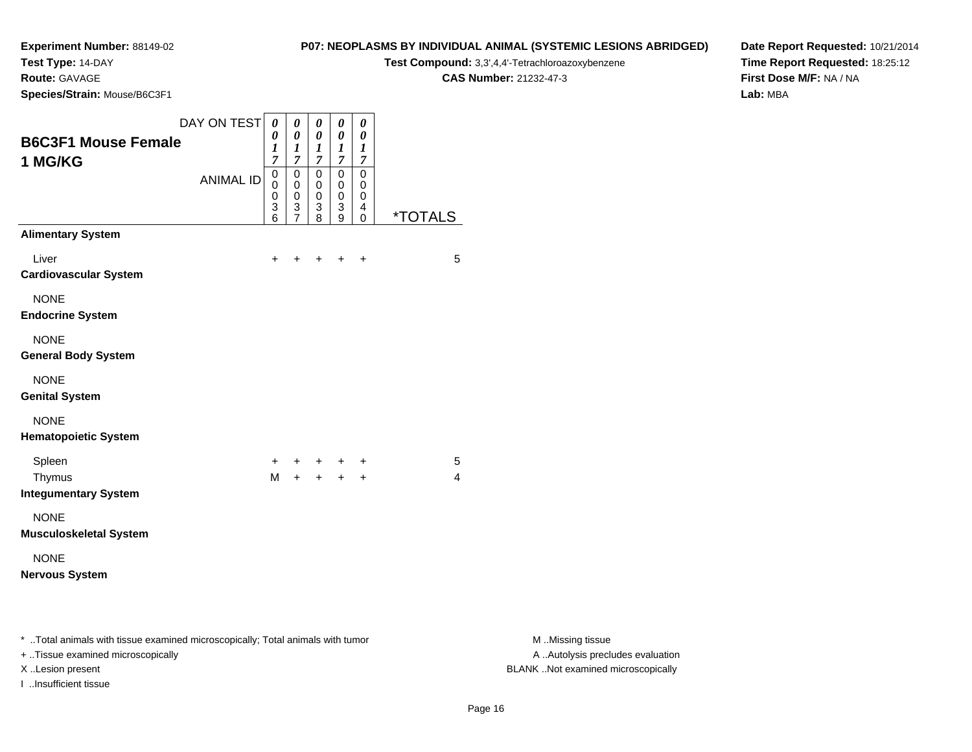**Test Type:** 14-DAY

**Route:** GAVAGE

I ..Insufficient tissue

**Species/Strain:** Mouse/B6C3F1

#### **P07: NEOPLASMS BY INDIVIDUAL ANIMAL (SYSTEMIC LESIONS ABRIDGED)**

**Test Compound:** 3,3',4,4'-Tetrachloroazoxybenzene

**CAS Number:** 21232-47-3

**Date Report Requested:** 10/21/2014 **Time Report Requested:** 18:25:12**First Dose M/F:** NA / NA**Lab:** MBA

| <b>B6C3F1 Mouse Female</b><br>1 MG/KG                                                                               | DAY ON TEST      | $\boldsymbol{\theta}$<br>0<br>$\boldsymbol{l}$<br>$\overline{7}$ | $\pmb{\theta}$<br>$\pmb{\theta}$<br>1<br>$\overline{7}$                   | 0<br>$\boldsymbol{\theta}$<br>$\boldsymbol{l}$<br>$\overline{7}$  | $\pmb{\theta}$<br>$\pmb{\theta}$<br>$\boldsymbol{l}$<br>$\overline{7}$ | $\pmb{\theta}$<br>$\boldsymbol{\theta}$<br>$\boldsymbol{l}$<br>$\overline{7}$ |                       |                                                       |
|---------------------------------------------------------------------------------------------------------------------|------------------|------------------------------------------------------------------|---------------------------------------------------------------------------|-------------------------------------------------------------------|------------------------------------------------------------------------|-------------------------------------------------------------------------------|-----------------------|-------------------------------------------------------|
|                                                                                                                     | <b>ANIMAL ID</b> | $\pmb{0}$<br>0<br>0<br>$\frac{3}{6}$                             | $\begin{matrix} 0 \\ 0 \end{matrix}$<br>$\boldsymbol{0}$<br>$\frac{3}{7}$ | $\mathsf 0$<br>$\mathbf 0$<br>0<br>$\ensuremath{\mathsf{3}}$<br>8 | $\mathsf 0$<br>$\pmb{0}$<br>0<br>$\ensuremath{\mathsf{3}}$<br>9        | $\mathbf 0$<br>$\mathbf 0$<br>$\mathbf 0$<br>$\overline{4}$<br>$\mathbf 0$    | <i><b>*TOTALS</b></i> |                                                       |
| <b>Alimentary System</b>                                                                                            |                  |                                                                  |                                                                           |                                                                   |                                                                        |                                                                               |                       |                                                       |
| Liver<br><b>Cardiovascular System</b>                                                                               |                  | $\ddot{}$                                                        |                                                                           |                                                                   | $\ddot{}$                                                              | $\ddot{}$                                                                     | 5                     |                                                       |
| <b>NONE</b><br><b>Endocrine System</b>                                                                              |                  |                                                                  |                                                                           |                                                                   |                                                                        |                                                                               |                       |                                                       |
| <b>NONE</b><br><b>General Body System</b>                                                                           |                  |                                                                  |                                                                           |                                                                   |                                                                        |                                                                               |                       |                                                       |
| <b>NONE</b><br><b>Genital System</b>                                                                                |                  |                                                                  |                                                                           |                                                                   |                                                                        |                                                                               |                       |                                                       |
| <b>NONE</b><br><b>Hematopoietic System</b>                                                                          |                  |                                                                  |                                                                           |                                                                   |                                                                        |                                                                               |                       |                                                       |
| Spleen                                                                                                              |                  | +                                                                |                                                                           |                                                                   |                                                                        | $\ddot{}$                                                                     | 5                     |                                                       |
| Thymus<br><b>Integumentary System</b>                                                                               |                  | M                                                                | $+$                                                                       |                                                                   | $+$ $+$                                                                | $\ddot{}$                                                                     | 4                     |                                                       |
| <b>NONE</b><br><b>Musculoskeletal System</b>                                                                        |                  |                                                                  |                                                                           |                                                                   |                                                                        |                                                                               |                       |                                                       |
| <b>NONE</b><br><b>Nervous System</b>                                                                                |                  |                                                                  |                                                                           |                                                                   |                                                                        |                                                                               |                       |                                                       |
| * Total animals with tissue examined microscopically; Total animals with tumor<br>+ Tissue examined microscopically |                  |                                                                  |                                                                           |                                                                   |                                                                        |                                                                               |                       | M Missing tissue<br>A  Autolysis precludes evaluation |

M ..Missing tissue X ..Lesion present BLANK ..Not examined microscopically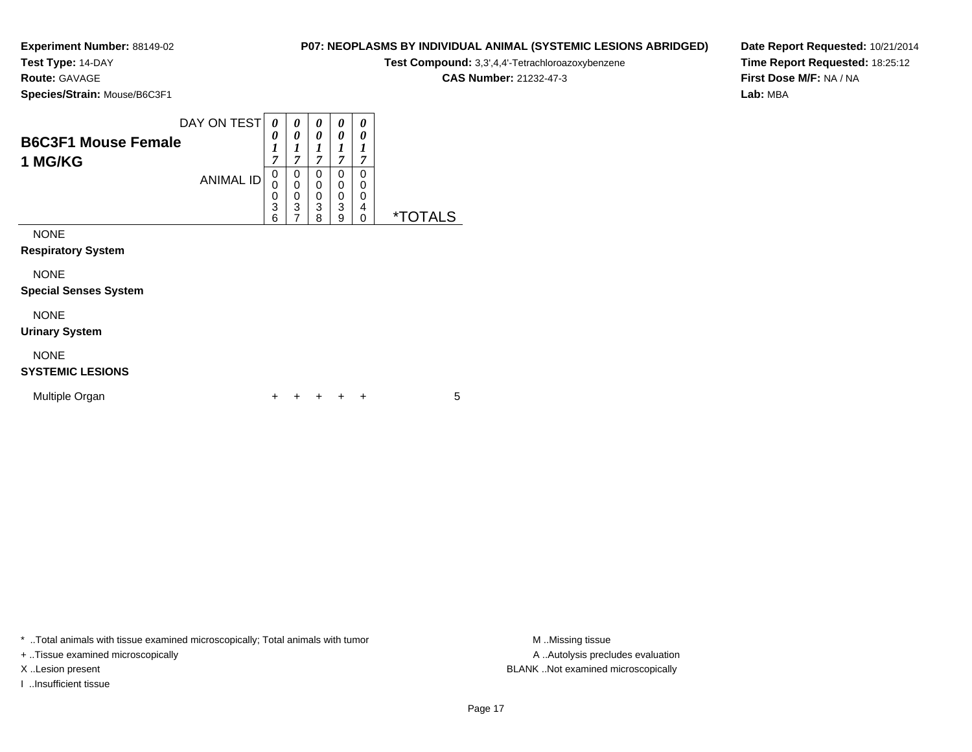**Test Type:** 14-DAY

**Route:** GAVAGE

**Species/Strain:** Mouse/B6C3F1

| <b>Test Compound:</b> 3.3'.4.4'-Tetrachloroazoxybenzene |
|---------------------------------------------------------|
| <b>CAS Number: 21232-47-3</b>                           |
|                                                         |

**P07: NEOPLASMS BY INDIVIDUAL ANIMAL (SYSTEMIC LESIONS ABRIDGED)**

**Date Report Requested:** 10/21/2014**Time Report Requested:** 18:25:12**First Dose M/F:** NA / NA**Lab:** MBA

| <b>B6C3F1 Mouse Female</b><br>1 MG/KG                                                   | DAY ON TEST<br><b>ANIMAL ID</b> | 0<br>0<br>1<br>7<br>0<br>0<br>3<br>6 | 0<br>0<br>1<br>$\overline{7}$<br>0<br>$\mathbf 0$<br>0<br>3<br>$\overline{7}$ | 0<br>0<br>1<br>7<br>0<br>0<br>0<br>3<br>8 | 0<br>0<br>1<br>7<br>0<br>$\mathbf 0$<br>0<br>3<br>9 | 0<br>0<br>1<br>7<br>0<br>0<br>0<br>4<br>0 | <i><b>*TOTALS</b></i> |
|-----------------------------------------------------------------------------------------|---------------------------------|--------------------------------------|-------------------------------------------------------------------------------|-------------------------------------------|-----------------------------------------------------|-------------------------------------------|-----------------------|
| <b>NONE</b><br><b>Respiratory System</b><br><b>NONE</b><br><b>Special Senses System</b> |                                 |                                      |                                                                               |                                           |                                                     |                                           |                       |
| <b>NONE</b><br><b>Urinary System</b><br><b>NONE</b><br><b>SYSTEMIC LESIONS</b>          |                                 |                                      |                                                                               |                                           |                                                     |                                           |                       |

| Multiple Organ |  | + + + + + |  |  |
|----------------|--|-----------|--|--|
|                |  |           |  |  |

\* ..Total animals with tissue examined microscopically; Total animals with tumor **M** . Missing tissue M ..Missing tissue

+ ..Tissue examined microscopically

I ..Insufficient tissue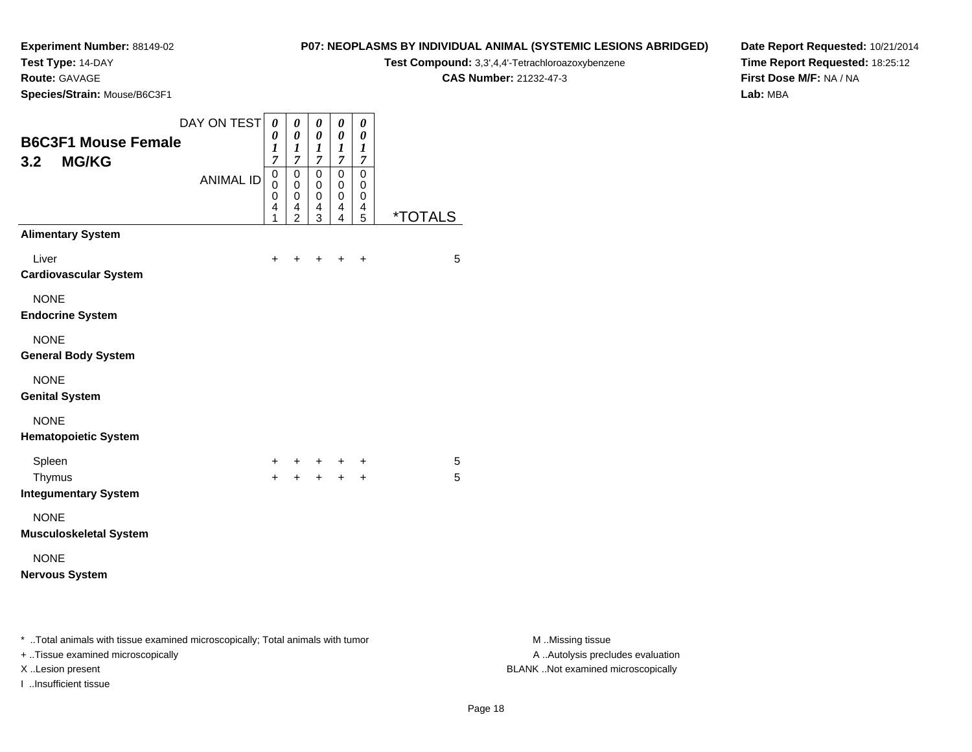**Test Type:** 14-DAY

**Route:** GAVAGE

**Species/Strain:** Mouse/B6C3F1

#### **P07: NEOPLASMS BY INDIVIDUAL ANIMAL (SYSTEMIC LESIONS ABRIDGED)**

**Test Compound:** 3,3',4,4'-Tetrachloroazoxybenzene

**CAS Number:** 21232-47-3

**Date Report Requested:** 10/21/2014**Time Report Requested:** 18:25:12**First Dose M/F:** NA / NA**Lab:** MBA

|                                                                                                                   | DAY ON TEST      | 0                                         | 0                                                             | 0                               | 0                                            | 0                               |                       |
|-------------------------------------------------------------------------------------------------------------------|------------------|-------------------------------------------|---------------------------------------------------------------|---------------------------------|----------------------------------------------|---------------------------------|-----------------------|
| <b>B6C3F1 Mouse Female</b><br><b>MG/KG</b><br>3.2                                                                 |                  | 0<br>$\boldsymbol{l}$<br>$\overline{7}$   | $\theta$<br>1<br>$\overline{7}$                               | 0<br>1<br>$\boldsymbol{7}$      | 0<br>1<br>$\overline{7}$                     | 0<br>1<br>$\overline{7}$        |                       |
|                                                                                                                   | <b>ANIMAL ID</b> | $\mathbf 0$<br>$\mathbf 0$<br>0<br>4<br>1 | $\Omega$<br>$\mathbf 0$<br>$\mathbf 0$<br>4<br>$\overline{2}$ | $\mathbf 0$<br>0<br>0<br>4<br>3 | $\mathbf 0$<br>0<br>0<br>4<br>$\overline{4}$ | $\mathbf 0$<br>0<br>0<br>4<br>5 | <i><b>*TOTALS</b></i> |
| <b>Alimentary System</b>                                                                                          |                  |                                           |                                                               |                                 |                                              |                                 |                       |
| Liver<br><b>Cardiovascular System</b>                                                                             |                  | $\ddot{}$                                 | +                                                             | +                               | $\ddot{}$                                    | $\ddot{}$                       | 5                     |
| <b>NONE</b><br><b>Endocrine System</b>                                                                            |                  |                                           |                                                               |                                 |                                              |                                 |                       |
| <b>NONE</b><br><b>General Body System</b>                                                                         |                  |                                           |                                                               |                                 |                                              |                                 |                       |
| <b>NONE</b><br><b>Genital System</b>                                                                              |                  |                                           |                                                               |                                 |                                              |                                 |                       |
| <b>NONE</b><br><b>Hematopoietic System</b>                                                                        |                  |                                           |                                                               |                                 |                                              |                                 |                       |
| Spleen                                                                                                            |                  | +                                         | +                                                             | $\ddot{}$                       |                                              | +                               | 5                     |
| Thymus<br><b>Integumentary System</b>                                                                             |                  | $\ddot{}$                                 | $+$                                                           | $+$                             | $+$ $+$                                      |                                 | 5                     |
| <b>NONE</b><br><b>Musculoskeletal System</b>                                                                      |                  |                                           |                                                               |                                 |                                              |                                 |                       |
| <b>NONE</b><br><b>Nervous System</b>                                                                              |                  |                                           |                                                               |                                 |                                              |                                 |                       |
| * Total animals with tissue examined microscopically; Total animals with tumor<br>Tiesue examined microscopically |                  |                                           |                                                               |                                 |                                              |                                 |                       |

+ ..Tissue examined microscopically

I ..Insufficient tissue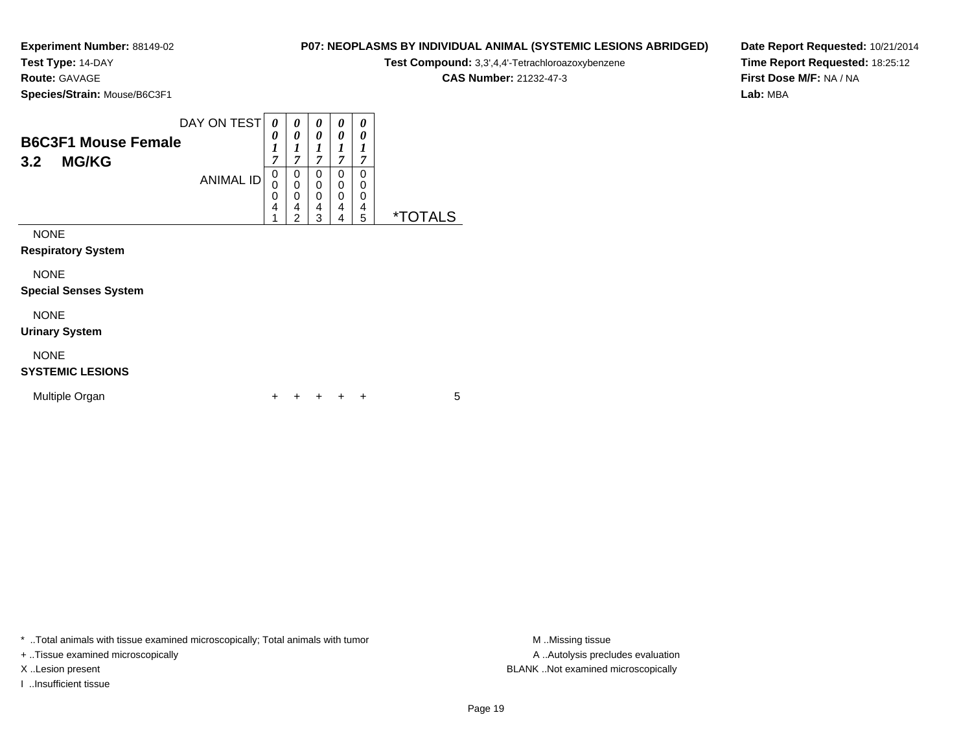**Test Type:** 14-DAY

**Route:** GAVAGE

**Species/Strain:** Mouse/B6C3F1

## **P07: NEOPLASMS BY INDIVIDUAL ANIMAL (SYSTEMIC LESIONS ABRIDGED)**

**Test Compound:** 3,3',4,4'-Tetrachloroazoxybenzene

**CAS Number:** 21232-47-3

**Date Report Requested:** 10/21/2014**Time Report Requested:** 18:25:12**First Dose M/F:** NA / NA**Lab:** MBA

| <b>B6C3F1 Mouse Female</b><br><b>MG/KG</b><br>3.2 | DAY ON TEST      | 0<br>0<br>1<br>7      | 0<br>$\boldsymbol{\theta}$<br>$\boldsymbol{l}$<br>7    | 0<br>0<br>1<br>7                | 0<br>0<br>1<br>7      | 0<br>0<br>1<br>7      |                       |  |
|---------------------------------------------------|------------------|-----------------------|--------------------------------------------------------|---------------------------------|-----------------------|-----------------------|-----------------------|--|
|                                                   | <b>ANIMAL ID</b> | 0<br>0<br>0<br>4<br>1 | 0<br>$\mathbf 0$<br>$\mathbf 0$<br>4<br>$\overline{2}$ | 0<br>0<br>$\mathbf 0$<br>4<br>3 | 0<br>0<br>0<br>4<br>4 | 0<br>0<br>0<br>4<br>5 | <i><b>*TOTALS</b></i> |  |
| <b>NONE</b><br><b>Respiratory System</b>          |                  |                       |                                                        |                                 |                       |                       |                       |  |
| <b>NONE</b><br><b>Special Senses System</b>       |                  |                       |                                                        |                                 |                       |                       |                       |  |
| <b>NONE</b><br><b>Urinary System</b>              |                  |                       |                                                        |                                 |                       |                       |                       |  |
| <b>NONE</b>                                       |                  |                       |                                                        |                                 |                       |                       |                       |  |

#### **SYSTEMIC LESIONS**

| Multiple Organ |  |  |  | + + + + + |  |  |  |
|----------------|--|--|--|-----------|--|--|--|
|----------------|--|--|--|-----------|--|--|--|

\* ..Total animals with tissue examined microscopically; Total animals with tumor **M** . Missing tissue M ..Missing tissue

+ ..Tissue examined microscopically

I ..Insufficient tissue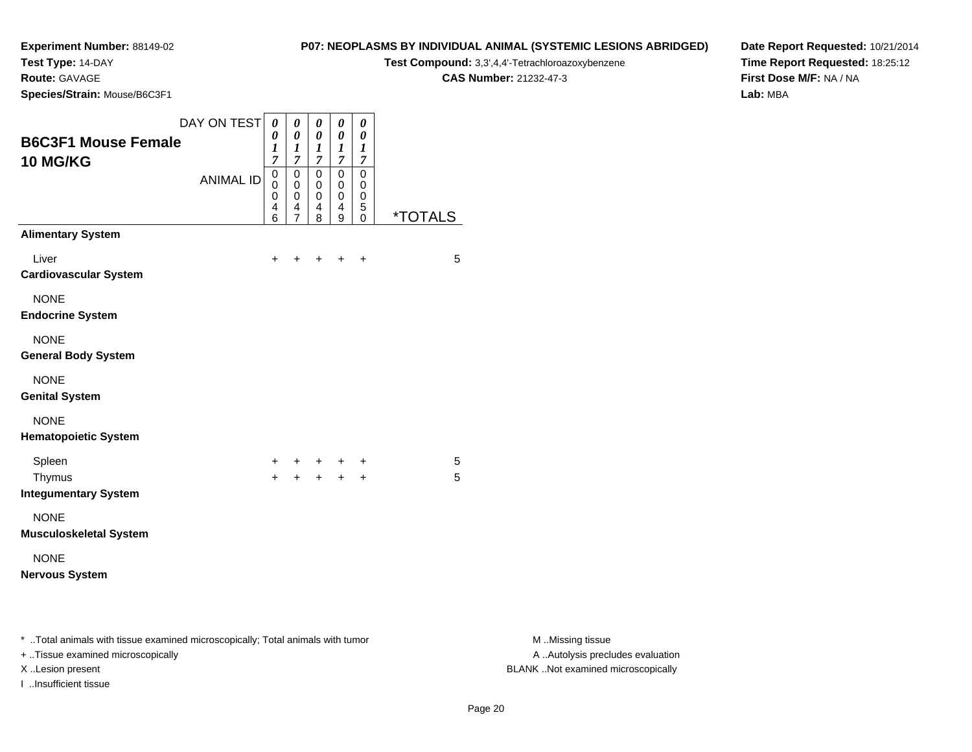**Test Type:** 14-DAY

**Route:** GAVAGE

I ..Insufficient tissue

**Species/Strain:** Mouse/B6C3F1

#### **P07: NEOPLASMS BY INDIVIDUAL ANIMAL (SYSTEMIC LESIONS ABRIDGED)**

**Test Compound:** 3,3',4,4'-Tetrachloroazoxybenzene

**CAS Number:** 21232-47-3

**Date Report Requested:** 10/21/2014**Time Report Requested:** 18:25:12**First Dose M/F:** NA / NA**Lab:** MBA

|                                                                                                                     | DAY ON TEST      | 0                                         | 0                                                      | 0                                       | 0                                               | 0                               |                       |
|---------------------------------------------------------------------------------------------------------------------|------------------|-------------------------------------------|--------------------------------------------------------|-----------------------------------------|-------------------------------------------------|---------------------------------|-----------------------|
| <b>B6C3F1 Mouse Female</b><br>10 MG/KG                                                                              |                  | 0<br>$\boldsymbol{l}$<br>$\overline{7}$   | 0<br>1<br>$\overline{7}$                               | 0<br>$\boldsymbol{l}$<br>$\overline{7}$ | 0<br>$\bm{l}$<br>$\overline{7}$                 | 0<br>1<br>$\overline{7}$        |                       |
|                                                                                                                     | <b>ANIMAL ID</b> | $\mathsf 0$<br>$\mathbf 0$<br>0<br>4<br>6 | $\mathbf 0$<br>0<br>$\mathbf 0$<br>4<br>$\overline{7}$ | $\pmb{0}$<br>0<br>0<br>4<br>8           | $\mathbf 0$<br>$\pmb{0}$<br>$\pmb{0}$<br>4<br>9 | $\mathbf 0$<br>0<br>0<br>5<br>0 | <i><b>*TOTALS</b></i> |
| <b>Alimentary System</b>                                                                                            |                  |                                           |                                                        |                                         |                                                 |                                 |                       |
| Liver<br><b>Cardiovascular System</b>                                                                               |                  | $\ddot{}$                                 | +                                                      | +                                       | $\pm$                                           | $\ddot{}$                       | 5                     |
| <b>NONE</b><br><b>Endocrine System</b>                                                                              |                  |                                           |                                                        |                                         |                                                 |                                 |                       |
| <b>NONE</b><br><b>General Body System</b>                                                                           |                  |                                           |                                                        |                                         |                                                 |                                 |                       |
| <b>NONE</b><br><b>Genital System</b>                                                                                |                  |                                           |                                                        |                                         |                                                 |                                 |                       |
| <b>NONE</b><br><b>Hematopoietic System</b>                                                                          |                  |                                           |                                                        |                                         |                                                 |                                 |                       |
| Spleen                                                                                                              |                  | +                                         | +                                                      | +                                       | +                                               | +                               | 5                     |
| Thymus<br><b>Integumentary System</b>                                                                               |                  | $+$                                       | $\ddot{}$                                              | $+$                                     | $+$                                             | $+$                             | 5                     |
| <b>NONE</b><br><b>Musculoskeletal System</b>                                                                        |                  |                                           |                                                        |                                         |                                                 |                                 |                       |
| <b>NONE</b><br><b>Nervous System</b>                                                                                |                  |                                           |                                                        |                                         |                                                 |                                 |                       |
| * Total animals with tissue examined microscopically; Total animals with tumor<br>+ Tissue examined microscopically |                  |                                           |                                                        |                                         |                                                 |                                 |                       |

M ..Missing tissue A ..Autolysis precludes evaluation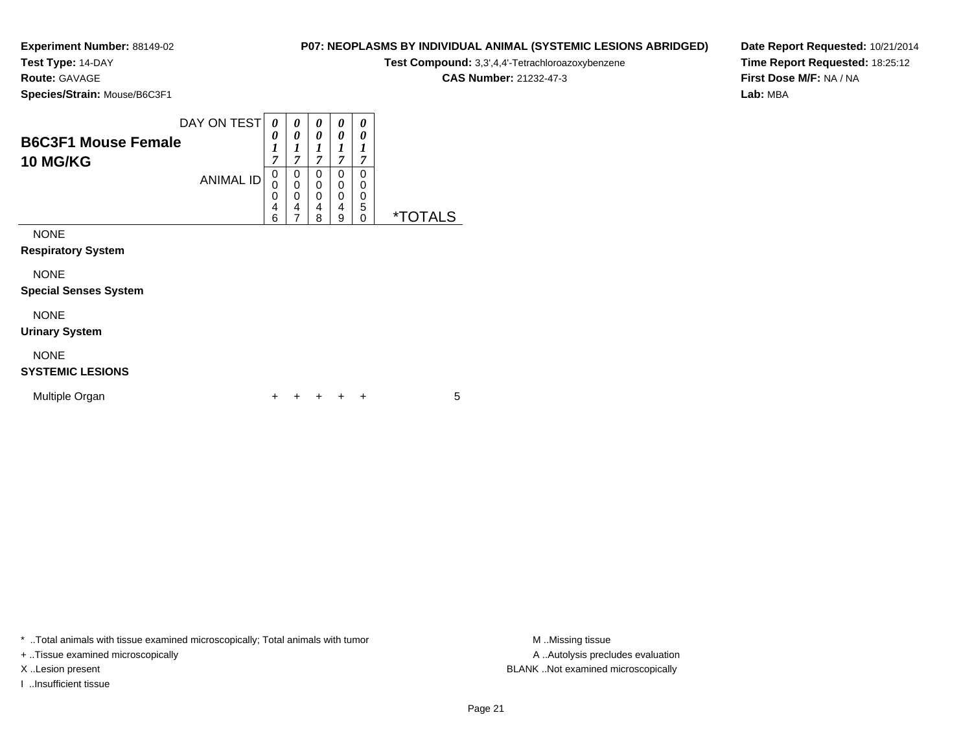**Test Type:** 14-DAY

**Route:** GAVAGE

**Species/Strain:** Mouse/B6C3F1

|          |                                                                    |  |  | <b>TOOL OUTIFUGHING</b> $O,O,\top,\top$ |
|----------|--------------------------------------------------------------------|--|--|-----------------------------------------|
|          |                                                                    |  |  | <b>CAS Number: 21232-47-3</b>           |
| e/B6C3F1 |                                                                    |  |  |                                         |
|          |                                                                    |  |  |                                         |
|          | DAY ON TEST $\mid \theta \mid \theta \mid \theta \mid \theta \mid$ |  |  |                                         |

**Date Report Requested:** 10/21/2014**Time Report Requested:** 18:25:12**First Dose M/F:** NA / NA**Lab:** MBA

|                                        |                  |                       |                       |                       |                       | v                     |                       |
|----------------------------------------|------------------|-----------------------|-----------------------|-----------------------|-----------------------|-----------------------|-----------------------|
| <b>B6C3F1 Mouse Female</b>             |                  | 0                     | 0                     | 0                     | 0                     | 0                     |                       |
| <b>10 MG/KG</b>                        |                  | 1<br>7                | 7                     | 1<br>7                | 7                     | 1<br>7                |                       |
|                                        | <b>ANIMAL ID</b> | 0<br>0<br>0<br>4<br>6 | 0<br>0<br>0<br>4<br>7 | 0<br>0<br>0<br>4<br>8 | 0<br>0<br>0<br>4<br>9 | 0<br>0<br>0<br>5<br>0 | <i><b>*TOTALS</b></i> |
| <b>NONE</b>                            |                  |                       |                       |                       |                       |                       |                       |
| <b>Respiratory System</b>              |                  |                       |                       |                       |                       |                       |                       |
| <b>NONE</b>                            |                  |                       |                       |                       |                       |                       |                       |
| <b>Special Senses System</b>           |                  |                       |                       |                       |                       |                       |                       |
| <b>NONE</b>                            |                  |                       |                       |                       |                       |                       |                       |
| <b>Urinary System</b>                  |                  |                       |                       |                       |                       |                       |                       |
| <b>NONE</b><br><b>SYSTEMIC LESIONS</b> |                  |                       |                       |                       |                       |                       |                       |

| Multiple Organ |  | + + + + + |  |  |
|----------------|--|-----------|--|--|
|                |  |           |  |  |

\* ..Total animals with tissue examined microscopically; Total animals with tumor **M** . Missing tissue M ..Missing tissue

+ ..Tissue examined microscopically

I ..Insufficient tissue

A ..Autolysis precludes evaluation X ..Lesion present BLANK ..Not examined microscopically

**P07: NEOPLASMS BY INDIVIDUAL ANIMAL (SYSTEMIC LESIONS ABRIDGED)Test Compound:** 3,3',4,4'-Tetrachloroazoxybenzene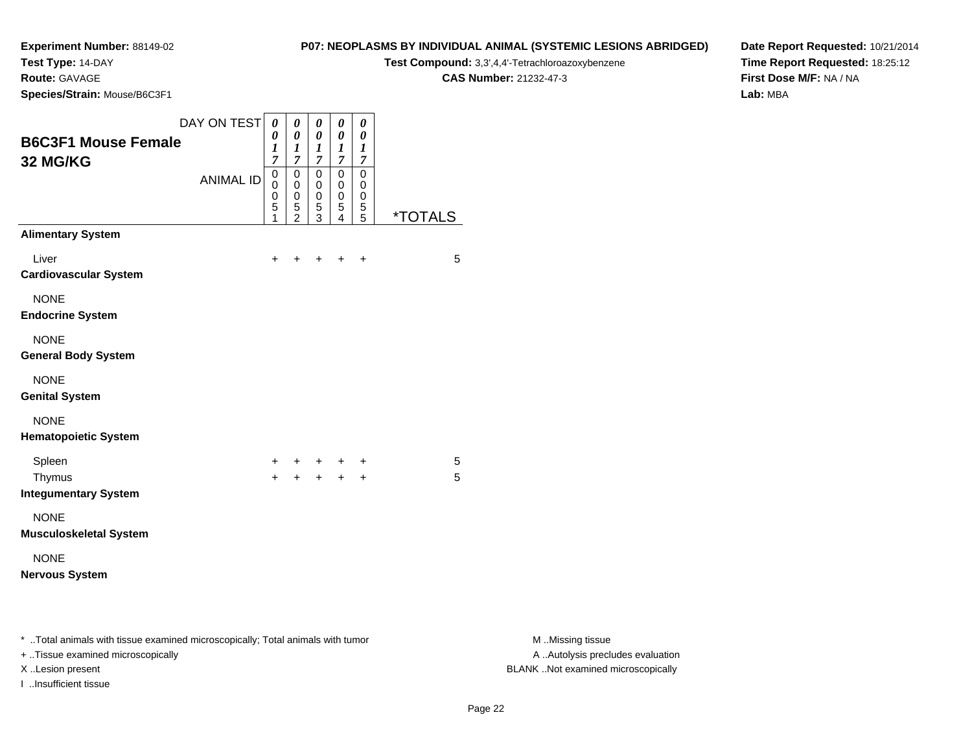**Test Type:** 14-DAY

**Route:** GAVAGE

**Species/Strain:** Mouse/B6C3F1

#### **P07: NEOPLASMS BY INDIVIDUAL ANIMAL (SYSTEMIC LESIONS ABRIDGED)**

**Test Compound:** 3,3',4,4'-Tetrachloroazoxybenzene

**CAS Number:** 21232-47-3

**Date Report Requested:** 10/21/2014**Time Report Requested:** 18:25:12**First Dose M/F:** NA / NA**Lab:** MBA

| <b>B6C3F1 Mouse Female</b><br>32 MG/KG                                                                              | DAY ON TEST $\theta$ | 0<br>$\boldsymbol{l}$<br>$\overline{7}$ | $\pmb{\theta}$<br>0<br>1<br>7                  | $\pmb{\theta}$<br>$\boldsymbol{\theta}$<br>$\boldsymbol{l}$<br>$\overline{7}$ | $\pmb{\theta}$<br>$\pmb{\theta}$<br>$\boldsymbol{l}$<br>$\boldsymbol{7}$ | $\pmb{\theta}$<br>0<br>$\boldsymbol{l}$<br>$\overline{7}$   |                       |                                                       |
|---------------------------------------------------------------------------------------------------------------------|----------------------|-----------------------------------------|------------------------------------------------|-------------------------------------------------------------------------------|--------------------------------------------------------------------------|-------------------------------------------------------------|-----------------------|-------------------------------------------------------|
|                                                                                                                     | <b>ANIMAL ID</b>     | $\pmb{0}$<br>0<br>0<br>5<br>1           | $\pmb{0}$<br>$\mathbf 0$<br>0<br>$\frac{5}{2}$ | $\mathbf 0$<br>$\mathbf 0$<br>$\pmb{0}$<br>5<br>$\mathbf{3}$                  | $\pmb{0}$<br>$\mathbf 0$<br>0<br>$\,$ 5 $\,$<br>$\overline{4}$           | $\mathbf 0$<br>$\mathbf 0$<br>$\pmb{0}$<br>$\,$ 5 $\,$<br>5 | <i><b>*TOTALS</b></i> |                                                       |
| <b>Alimentary System</b>                                                                                            |                      |                                         |                                                |                                                                               |                                                                          |                                                             |                       |                                                       |
| Liver<br><b>Cardiovascular System</b>                                                                               |                      | $\ddot{}$                               |                                                |                                                                               | $\ddot{}$                                                                | $\ddot{}$                                                   | 5                     |                                                       |
| <b>NONE</b><br><b>Endocrine System</b>                                                                              |                      |                                         |                                                |                                                                               |                                                                          |                                                             |                       |                                                       |
| <b>NONE</b><br><b>General Body System</b>                                                                           |                      |                                         |                                                |                                                                               |                                                                          |                                                             |                       |                                                       |
| <b>NONE</b><br><b>Genital System</b>                                                                                |                      |                                         |                                                |                                                                               |                                                                          |                                                             |                       |                                                       |
| <b>NONE</b><br><b>Hematopoietic System</b>                                                                          |                      |                                         |                                                |                                                                               |                                                                          |                                                             |                       |                                                       |
| Spleen<br>Thymus<br><b>Integumentary System</b>                                                                     |                      | +<br>$\ddot{+}$                         |                                                | $+$<br>$+ + +$                                                                |                                                                          | $\ddot{}$<br>$\ddot{}$                                      | 5<br>5                |                                                       |
| <b>NONE</b><br><b>Musculoskeletal System</b>                                                                        |                      |                                         |                                                |                                                                               |                                                                          |                                                             |                       |                                                       |
| <b>NONE</b><br><b>Nervous System</b>                                                                                |                      |                                         |                                                |                                                                               |                                                                          |                                                             |                       |                                                       |
| * Total animals with tissue examined microscopically; Total animals with tumor<br>+ Tissue examined microscopically |                      |                                         |                                                |                                                                               |                                                                          |                                                             |                       | M Missing tissue<br>A  Autolysis precludes evaluation |

I ..Insufficient tissue

M ..Missing tissue X ..Lesion present BLANK ..Not examined microscopically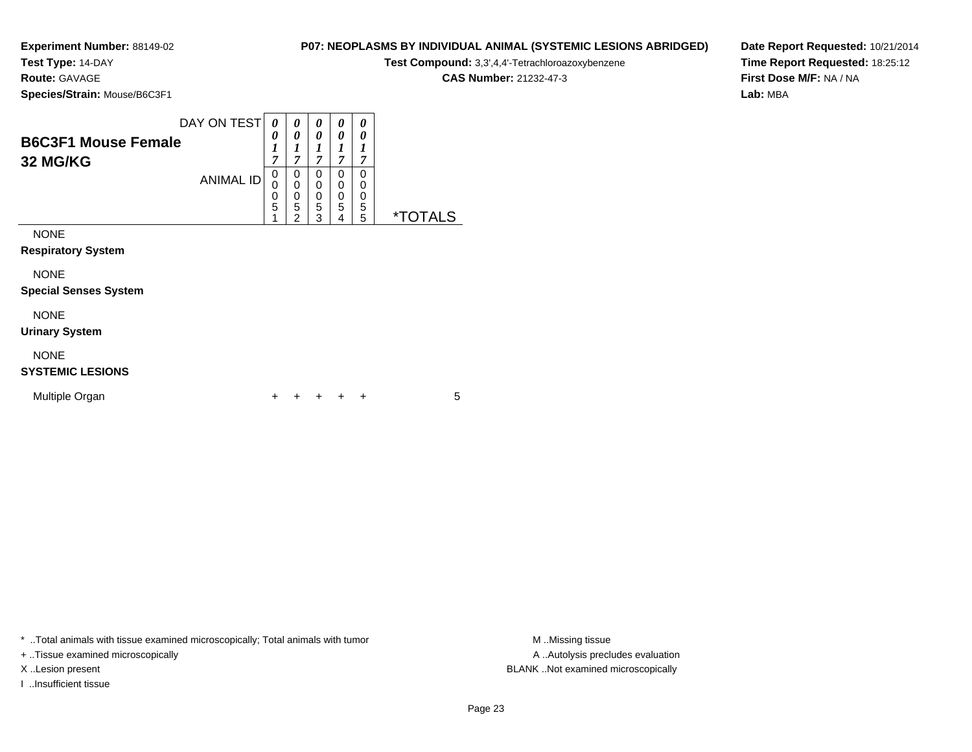**Test Type:** 14-DAY

**Route:** GAVAGE

**Species/Strain:** Mouse/B6C3F1

| Test Compound: 3,3',4,4'-Tetrachloroazoxybenzene |
|--------------------------------------------------|
| <b>CAS Number: 21232-47-3</b>                    |
|                                                  |

**P07: NEOPLASMS BY INDIVIDUAL ANIMAL (SYSTEMIC LESIONS ABRIDGED)**

**Date Report Requested:** 10/21/2014**Time Report Requested:** 18:25:12**First Dose M/F:** NA / NA**Lab:** MBA

| <b>B6C3F1 Mouse Female</b><br>32 MG/KG   | DAY ON TEST      | 0<br>0<br>1<br>$\overline{7}$                        | 0<br>0<br>$\boldsymbol{l}$<br>7                                                   | 0<br>0<br>1<br>7               | 0<br>0<br>1<br>$\overline{7}$ | 0<br>0<br>1<br>$\overline{7}$ |                       |
|------------------------------------------|------------------|------------------------------------------------------|-----------------------------------------------------------------------------------|--------------------------------|-------------------------------|-------------------------------|-----------------------|
|                                          | <b>ANIMAL ID</b> | 0<br>0<br>$\begin{array}{c} 0 \\ 5 \end{array}$<br>1 | 0<br>$\mathbf 0$<br>$\begin{smallmatrix}0\0\0\end{smallmatrix}$<br>$\overline{2}$ | 0<br>0<br>0<br>$\sqrt{5}$<br>3 | 0<br>0<br>0<br>5<br>4         | 0<br>0<br>0<br>5<br>5         | <i><b>*TOTALS</b></i> |
| <b>NONE</b><br><b>Respiratory System</b> |                  |                                                      |                                                                                   |                                |                               |                               |                       |
| <b>NONE</b>                              |                  |                                                      |                                                                                   |                                |                               |                               |                       |
| <b>Special Senses System</b>             |                  |                                                      |                                                                                   |                                |                               |                               |                       |
| <b>NONE</b><br><b>Urinary System</b>     |                  |                                                      |                                                                                   |                                |                               |                               |                       |
| <b>NONE</b><br><b>SYSTEMIC LESIONS</b>   |                  |                                                      |                                                                                   |                                |                               |                               |                       |

\* ..Total animals with tissue examined microscopically; Total animals with tumor **M** . Missing tissue M ..Missing tissue

+ ..Tissue examined microscopically

I ..Insufficient tissue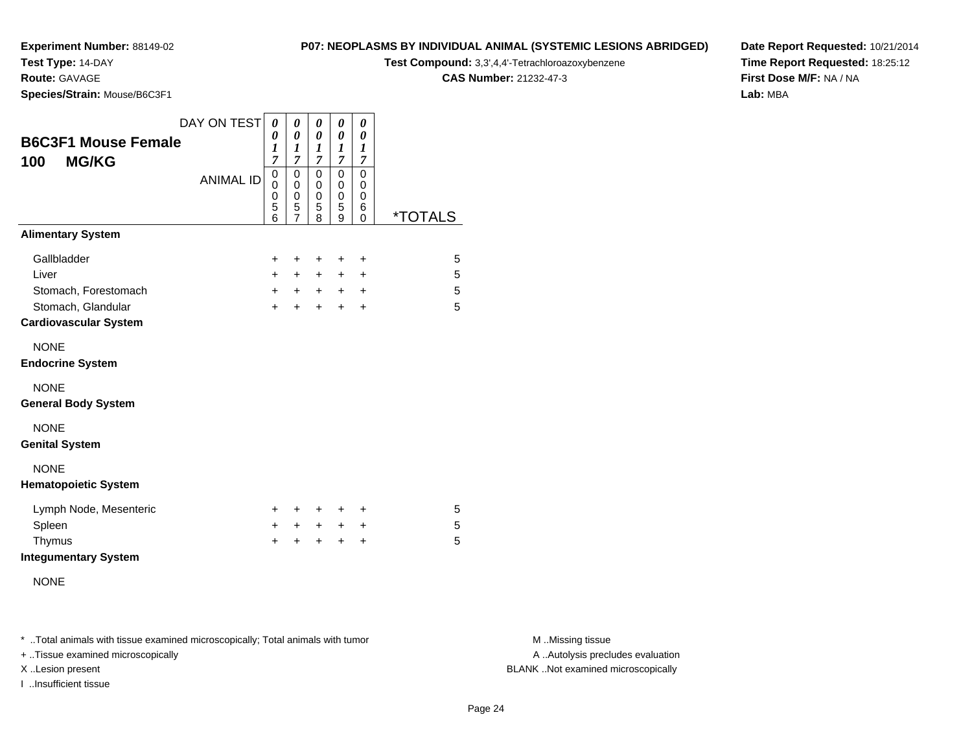# **Test Type:** 14-DAY

**Route:** GAVAGE

**Species/Strain:** Mouse/B6C3F1

### **P07: NEOPLASMS BY INDIVIDUAL ANIMAL (SYSTEMIC LESIONS ABRIDGED)**

**Test Compound:** 3,3',4,4'-Tetrachloroazoxybenzene

**CAS Number:** 21232-47-3

**Date Report Requested:** 10/21/2014**Time Report Requested:** 18:25:12**First Dose M/F:** NA / NA**Lab:** MBA

| <b>B6C3F1 Mouse Female</b><br><b>MG/KG</b><br>100  | DAY ON TEST      | 0<br>0<br>$\boldsymbol{l}$<br>$\overline{7}$ | 0<br>$\boldsymbol{\theta}$<br>1<br>$\overline{7}$      | 0<br>0<br>1<br>$\overline{7}$   | 0<br>0<br>$\boldsymbol{l}$<br>$\overline{7}$ | 0<br>0<br>1<br>$\overline{7}$ |                       |
|----------------------------------------------------|------------------|----------------------------------------------|--------------------------------------------------------|---------------------------------|----------------------------------------------|-------------------------------|-----------------------|
|                                                    | <b>ANIMAL ID</b> | 0<br>0<br>0<br>5<br>6                        | $\mathbf 0$<br>0<br>$\mathbf 0$<br>5<br>$\overline{7}$ | $\mathbf 0$<br>0<br>0<br>5<br>8 | $\mathbf 0$<br>0<br>0<br>5<br>9              | 0<br>0<br>0<br>6<br>$\Omega$  | <i><b>*TOTALS</b></i> |
| <b>Alimentary System</b>                           |                  |                                              |                                                        |                                 |                                              |                               |                       |
| Gallbladder                                        |                  | $\ddot{}$                                    | +                                                      | $\ddot{}$                       | +                                            | +                             | 5                     |
| Liver                                              |                  | $+$                                          | $+$                                                    | $\ddot{}$                       | $\ddot{}$                                    | $\ddot{}$                     | 5                     |
| Stomach, Forestomach                               |                  | $+$                                          | $+$ $-$                                                | $+$ $-$                         | $+$                                          | $\ddot{}$                     | 5                     |
| Stomach, Glandular<br><b>Cardiovascular System</b> |                  | $\ddot{}$                                    | $+$                                                    | $\ddot{}$                       | $\ddot{}$                                    | $\ddot{}$                     | 5                     |
| <b>NONE</b><br><b>Endocrine System</b>             |                  |                                              |                                                        |                                 |                                              |                               |                       |
| <b>NONE</b><br><b>General Body System</b>          |                  |                                              |                                                        |                                 |                                              |                               |                       |
| <b>NONE</b><br><b>Genital System</b>               |                  |                                              |                                                        |                                 |                                              |                               |                       |
| <b>NONE</b><br><b>Hematopoietic System</b>         |                  |                                              |                                                        |                                 |                                              |                               |                       |
| Lymph Node, Mesenteric                             |                  | $\pm$                                        | +                                                      | $\ddot{}$                       | $\pm$                                        | ÷                             | 5                     |
| Spleen                                             |                  | $\ddot{}$                                    | $+$                                                    | $+$                             | $\ddot{}$                                    | +                             | 5                     |
| Thymus<br><b>Integumentary System</b>              |                  | $\ddot{}$                                    | +                                                      | ÷                               | $\ddot{}$                                    | $\ddot{}$                     | 5                     |
| <b>NONE</b>                                        |                  |                                              |                                                        |                                 |                                              |                               |                       |

\* ..Total animals with tissue examined microscopically; Total animals with tumor **M** . Missing tissue M ..Missing tissue

+ ..Tissue examined microscopically

I ..Insufficient tissue